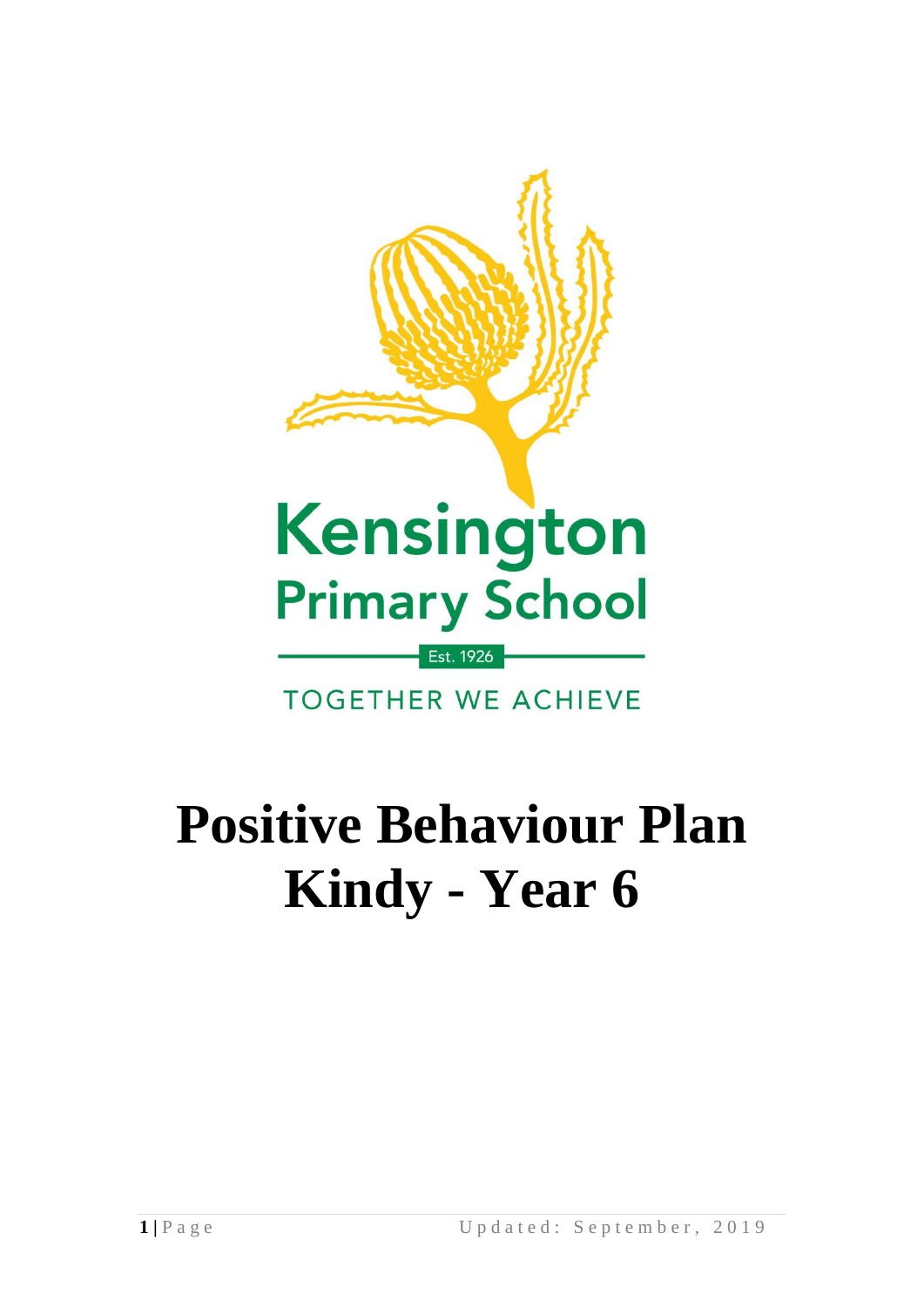

# **Positive Behaviour Plan Kindy - Year 6**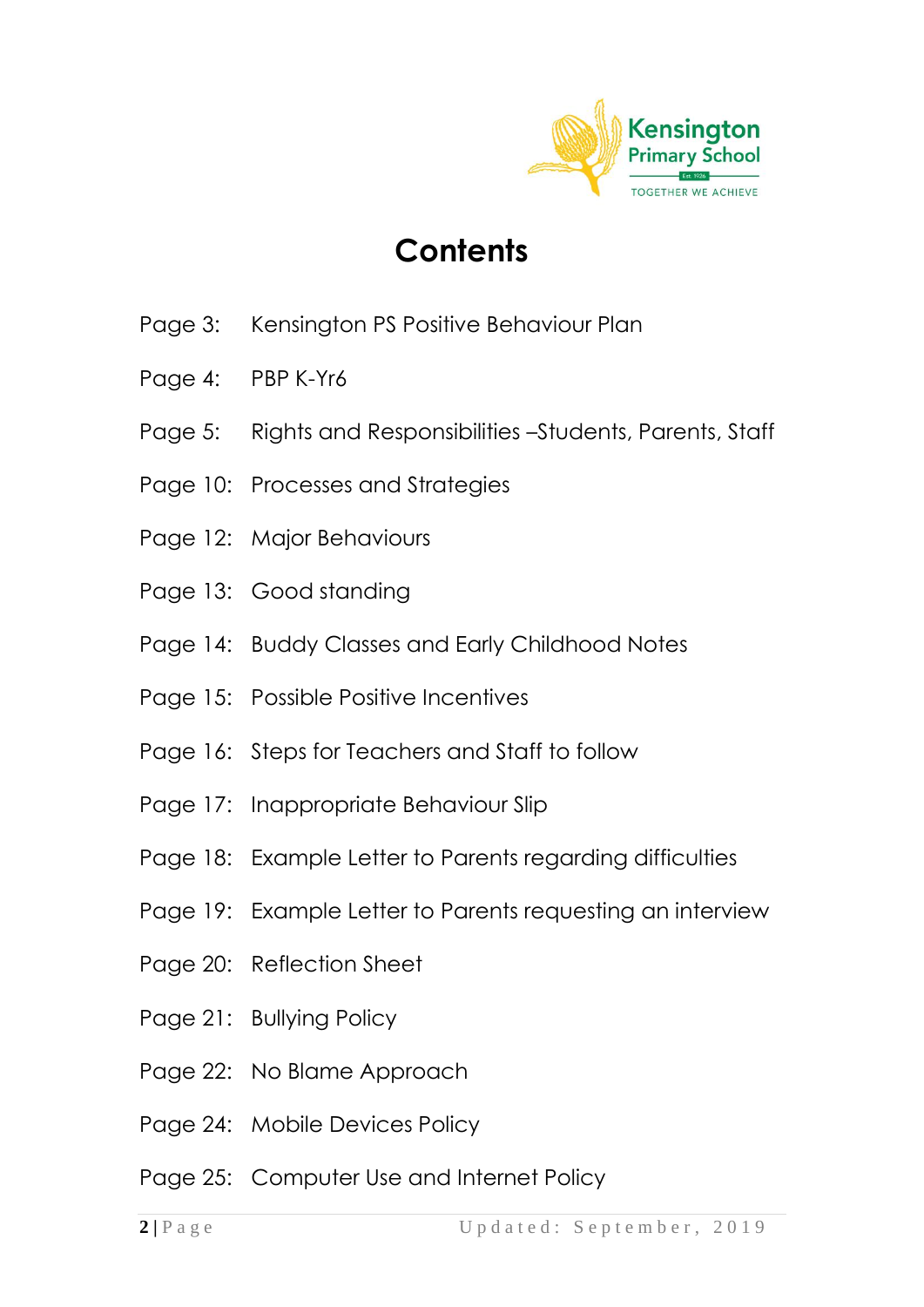

# **Contents**

- Page 3: Kensington PS Positive Behaviour Plan
- Page 4: PBP K-Yr6
- Page 5: Rights and Responsibilities –Students, Parents, Staff
- Page 10: Processes and Strategies
- Page 12: Major Behaviours
- Page 13: Good standing
- Page 14: Buddy Classes and Early Childhood Notes
- Page 15: Possible Positive Incentives
- Page 16: Steps for Teachers and Staff to follow
- Page 17: Inappropriate Behaviour Slip
- Page 18: Example Letter to Parents regarding difficulties
- Page 19: Example Letter to Parents requesting an interview
- Page 20: Reflection Sheet
- Page 21: Bullying Policy
- Page 22: No Blame Approach
- Page 24: Mobile Devices Policy
- Page 25: Computer Use and Internet Policy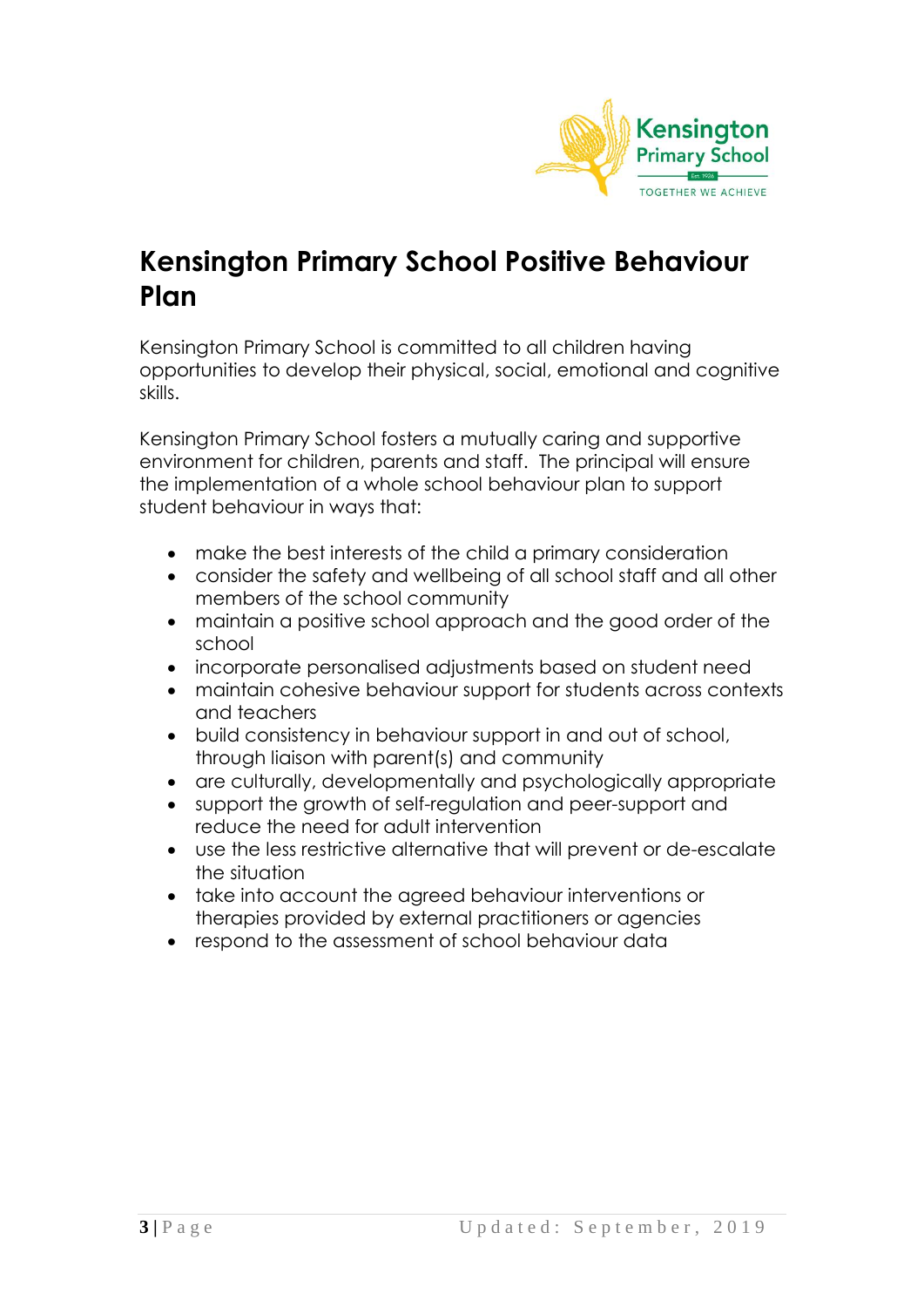

### **Kensington Primary School Positive Behaviour Plan**

Kensington Primary School is committed to all children having opportunities to develop their physical, social, emotional and cognitive skills.

Kensington Primary School fosters a mutually caring and supportive environment for children, parents and staff. The principal will ensure the implementation of a whole school behaviour plan to support student behaviour in ways that:

- make the best interests of the child a primary consideration
- consider the safety and wellbeing of all school staff and all other members of the school community
- maintain a positive school approach and the good order of the school
- incorporate personalised adjustments based on student need
- maintain cohesive behaviour support for students across contexts and teachers
- build consistency in behaviour support in and out of school, through liaison with parent(s) and community
- are culturally, developmentally and psychologically appropriate
- support the growth of self-regulation and peer-support and reduce the need for adult intervention
- use the less restrictive alternative that will prevent or de-escalate the situation
- take into account the agreed behaviour interventions or therapies provided by external practitioners or agencies
- respond to the assessment of school behaviour data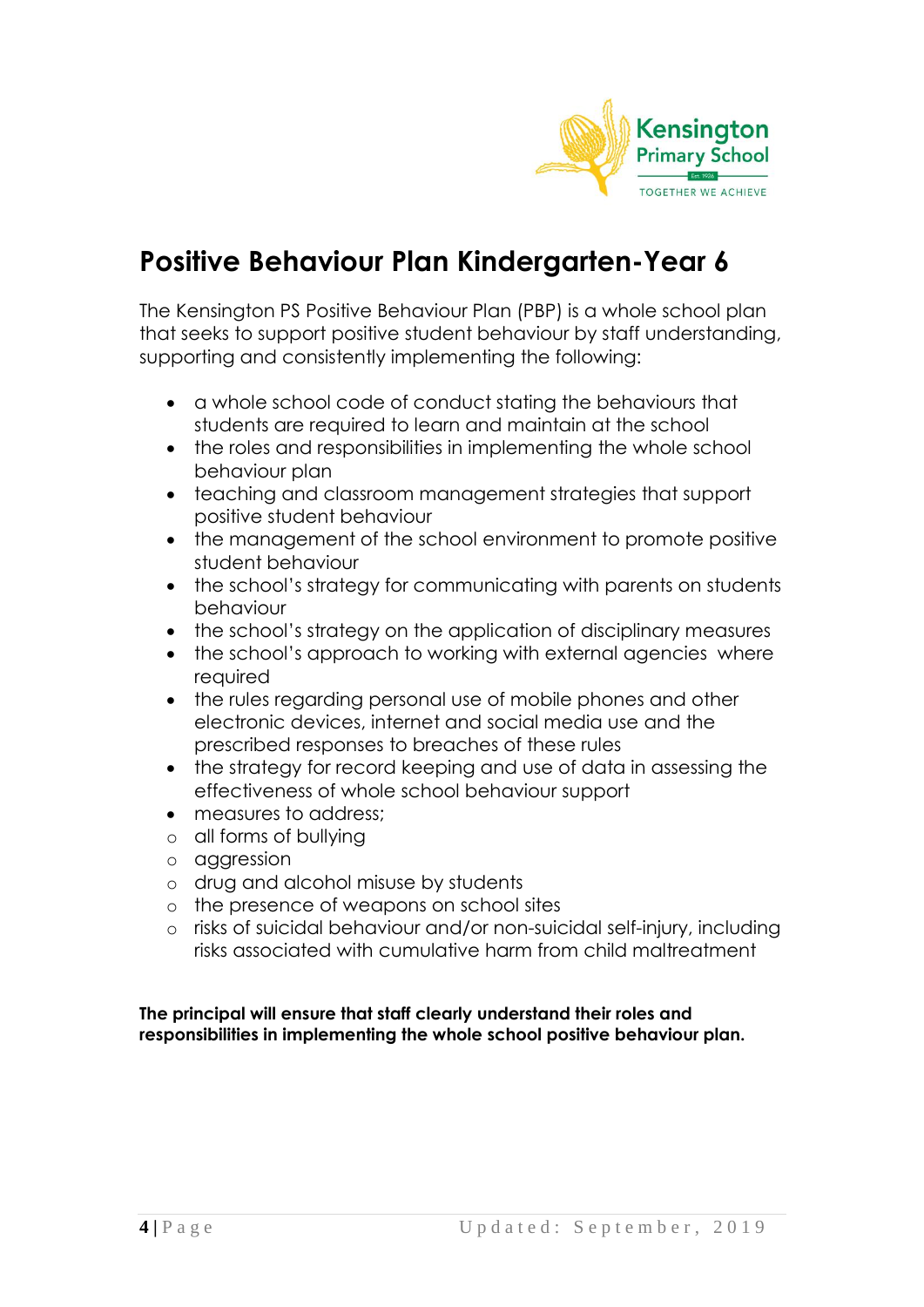

# **Positive Behaviour Plan Kindergarten-Year 6**

The Kensington PS Positive Behaviour Plan (PBP) is a whole school plan that seeks to support positive student behaviour by staff understanding, supporting and consistently implementing the following:

- a whole school code of conduct stating the behaviours that students are required to learn and maintain at the school
- the roles and responsibilities in implementing the whole school behaviour plan
- teaching and classroom management strategies that support positive student behaviour
- the management of the school environment to promote positive student behaviour
- the school's strategy for communicating with parents on students behaviour
- the school's strategy on the application of disciplinary measures
- the school's approach to working with external agencies where required
- the rules regarding personal use of mobile phones and other electronic devices, internet and social media use and the prescribed responses to breaches of these rules
- the strategy for record keeping and use of data in assessing the effectiveness of whole school behaviour support
- measures to address:
- o all forms of bullying
- o aggression
- o drug and alcohol misuse by students
- o the presence of weapons on school sites
- o risks of suicidal behaviour and/or non-suicidal self-injury, including risks associated with cumulative harm from child maltreatment

**The principal will ensure that staff clearly understand their roles and responsibilities in implementing the whole school positive behaviour plan.**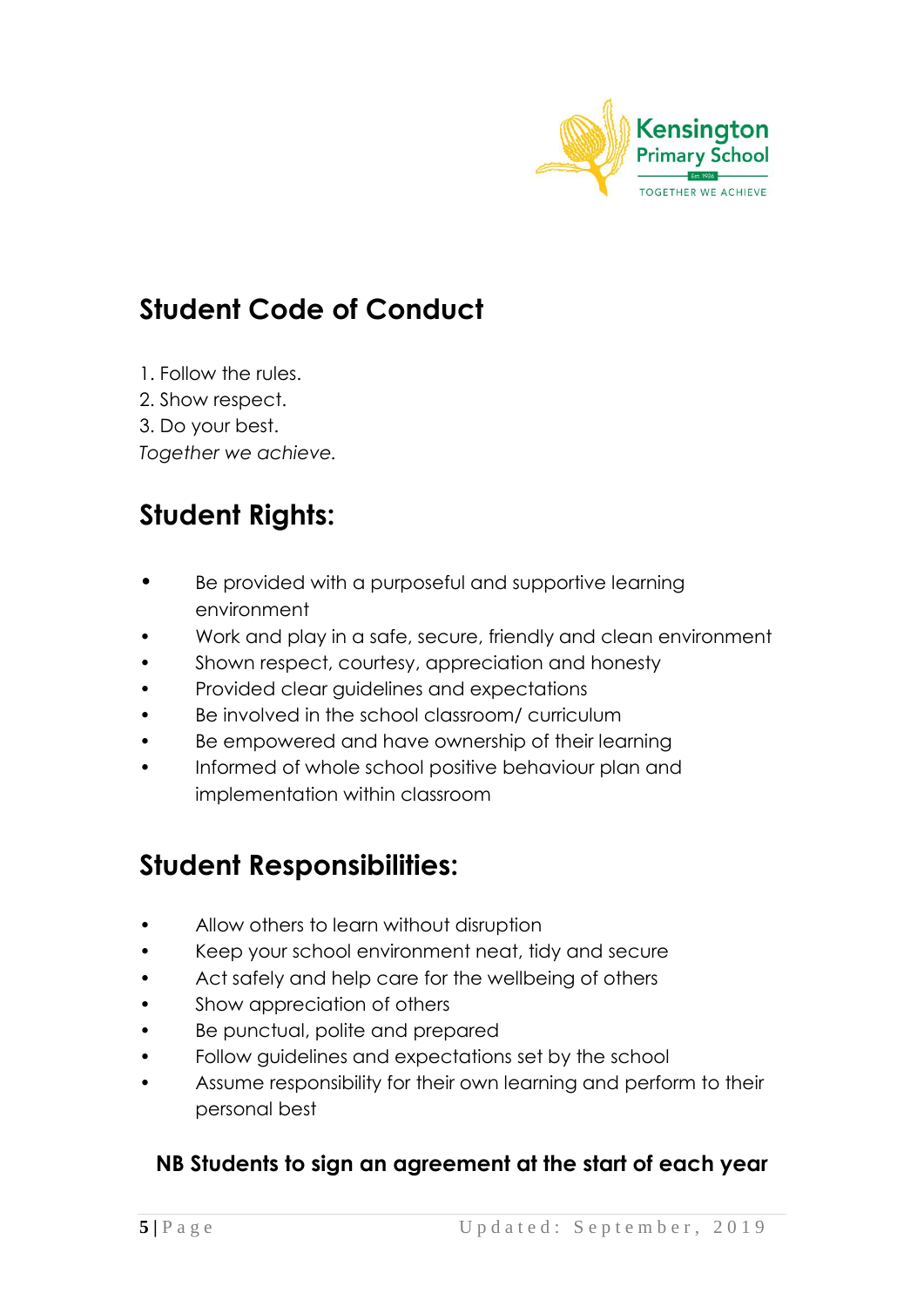

# **Student Code of Conduct**

- 1. Follow the rules.
- 2. Show respect.
- 3. Do your best.

*Together we achieve.*

# **Student Rights:**

- Be provided with a purposeful and supportive learning environment
- Work and play in a safe, secure, friendly and clean environment
- Shown respect, courtesy, appreciation and honesty
- Provided clear guidelines and expectations
- Be involved in the school classroom/ curriculum
- Be empowered and have ownership of their learning
- Informed of whole school positive behaviour plan and implementation within classroom

# **Student Responsibilities:**

- Allow others to learn without disruption
- Keep your school environment neat, tidy and secure
- Act safely and help care for the wellbeing of others
- Show appreciation of others
- Be punctual, polite and prepared
- Follow guidelines and expectations set by the school
- Assume responsibility for their own learning and perform to their personal best

### **NB Students to sign an agreement at the start of each year**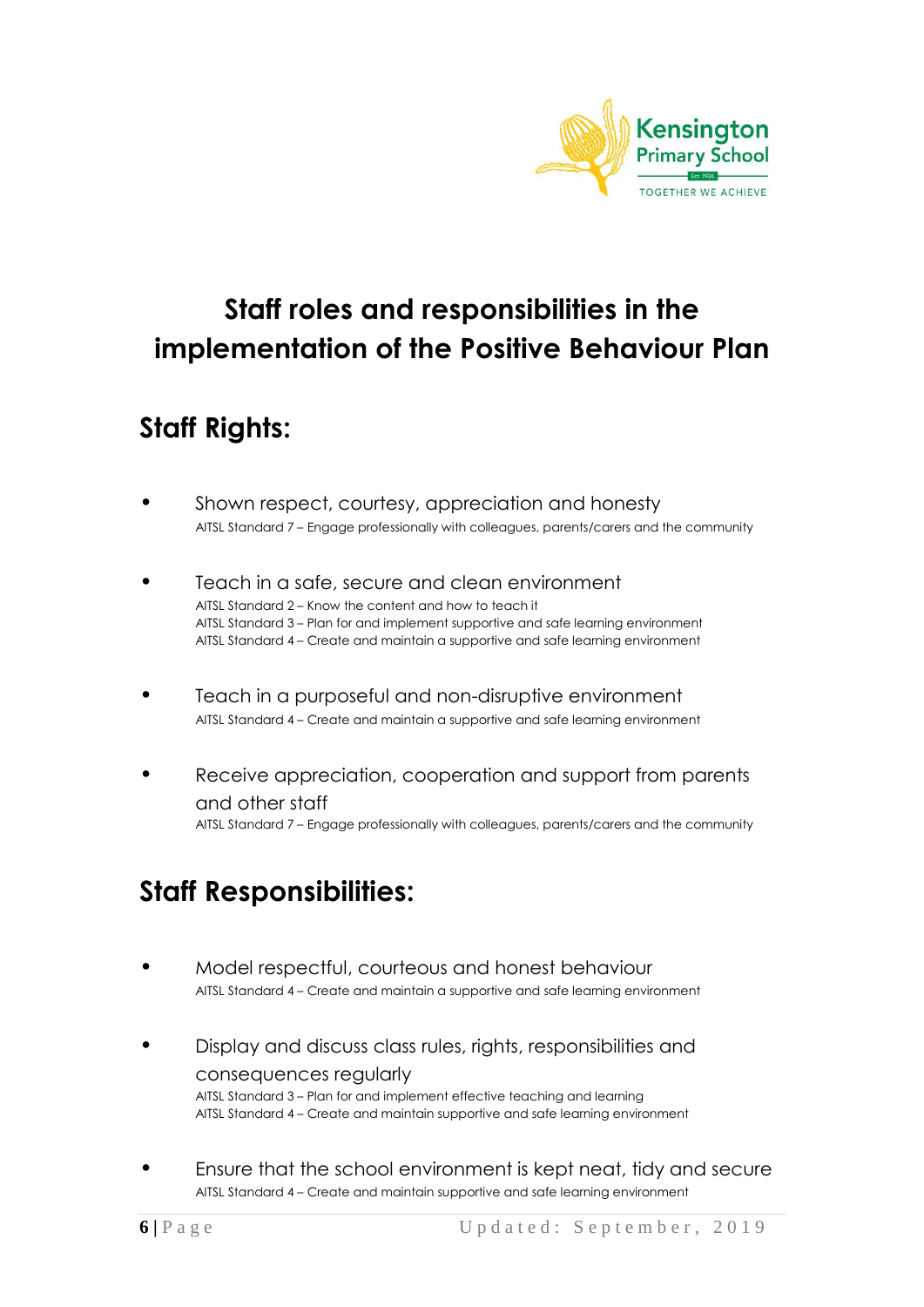

# **Staff roles and responsibilities in the implementation of the Positive Behaviour Plan**

# **Staff Rights:**

- Shown respect, courtesy, appreciation and honesty AITSL Standard 7 – Engage professionally with colleagues, parents/carers and the community
- Teach in a safe, secure and clean environment AITSL Standard 2 – Know the content and how to teach it AITSL Standard 3 – Plan for and implement supportive and safe learning environment AITSL Standard 4 – Create and maintain a supportive and safe learning environment
- Teach in a purposeful and non-disruptive environment AITSL Standard 4 – Create and maintain a supportive and safe learning environment
- Receive appreciation, cooperation and support from parents and other staff AITSL Standard 7 – Engage professionally with colleagues, parents/carers and the community

# **Staff Responsibilities:**

- Model respectful, courteous and honest behaviour AITSL Standard 4 – Create and maintain a supportive and safe learning environment
- Display and discuss class rules, rights, responsibilities and consequences regularly AITSL Standard 3 – Plan for and implement effective teaching and learning AITSL Standard 4 – Create and maintain supportive and safe learning environment
- Ensure that the school environment is kept neat, tidy and secure AITSL Standard 4 – Create and maintain supportive and safe learning environment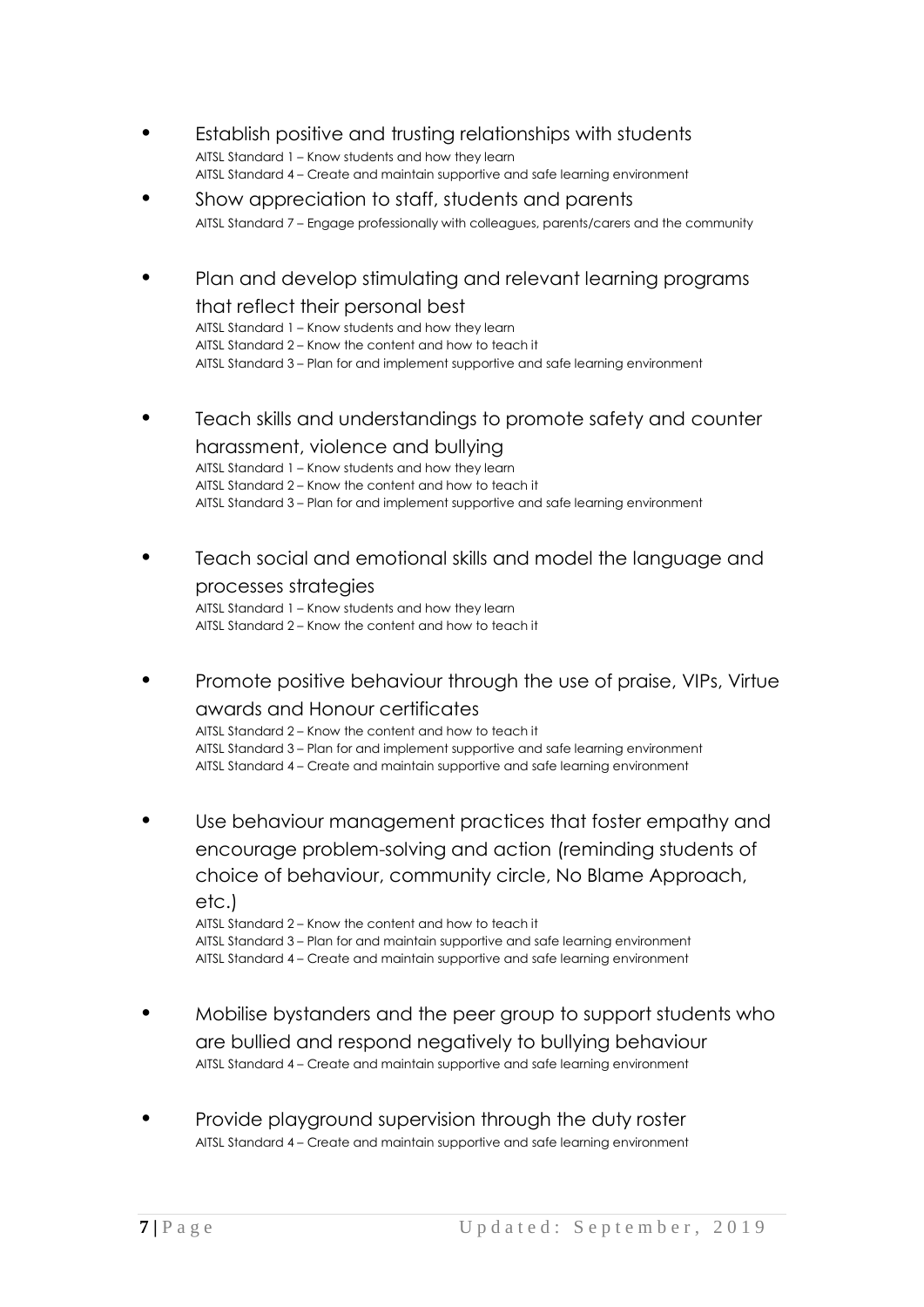- Establish positive and trusting relationships with students AITSL Standard 1 – Know students and how they learn AITSL Standard 4 – Create and maintain supportive and safe learning environment
- Show appreciation to staff, students and parents AITSL Standard 7 – Engage professionally with colleagues, parents/carers and the community
- Plan and develop stimulating and relevant learning programs that reflect their personal best

AITSL Standard 1 – Know students and how they learn AITSL Standard 2 – Know the content and how to teach it AITSL Standard 3 – Plan for and implement supportive and safe learning environment

• Teach skills and understandings to promote safety and counter

harassment, violence and bullying AITSL Standard 1 – Know students and how they learn AITSL Standard 2 – Know the content and how to teach it AITSL Standard 3 – Plan for and implement supportive and safe learning environment

Teach social and emotional skills and model the language and processes strategies

AITSL Standard 1 – Know students and how they learn AITSL Standard 2 – Know the content and how to teach it

• Promote positive behaviour through the use of praise, VIPs, Virtue awards and Honour certificates

AITSL Standard 2 – Know the content and how to teach it AITSL Standard 3 – Plan for and implement supportive and safe learning environment AITSL Standard 4 – Create and maintain supportive and safe learning environment

Use behaviour management practices that foster empathy and encourage problem-solving and action (reminding students of choice of behaviour, community circle, No Blame Approach, etc.)

AITSL Standard 2 – Know the content and how to teach it AITSL Standard 3 – Plan for and maintain supportive and safe learning environment AITSL Standard 4 – Create and maintain supportive and safe learning environment

- Mobilise bystanders and the peer group to support students who are bullied and respond negatively to bullying behaviour AITSL Standard 4 – Create and maintain supportive and safe learning environment
- Provide playground supervision through the duty roster AITSL Standard 4 – Create and maintain supportive and safe learning environment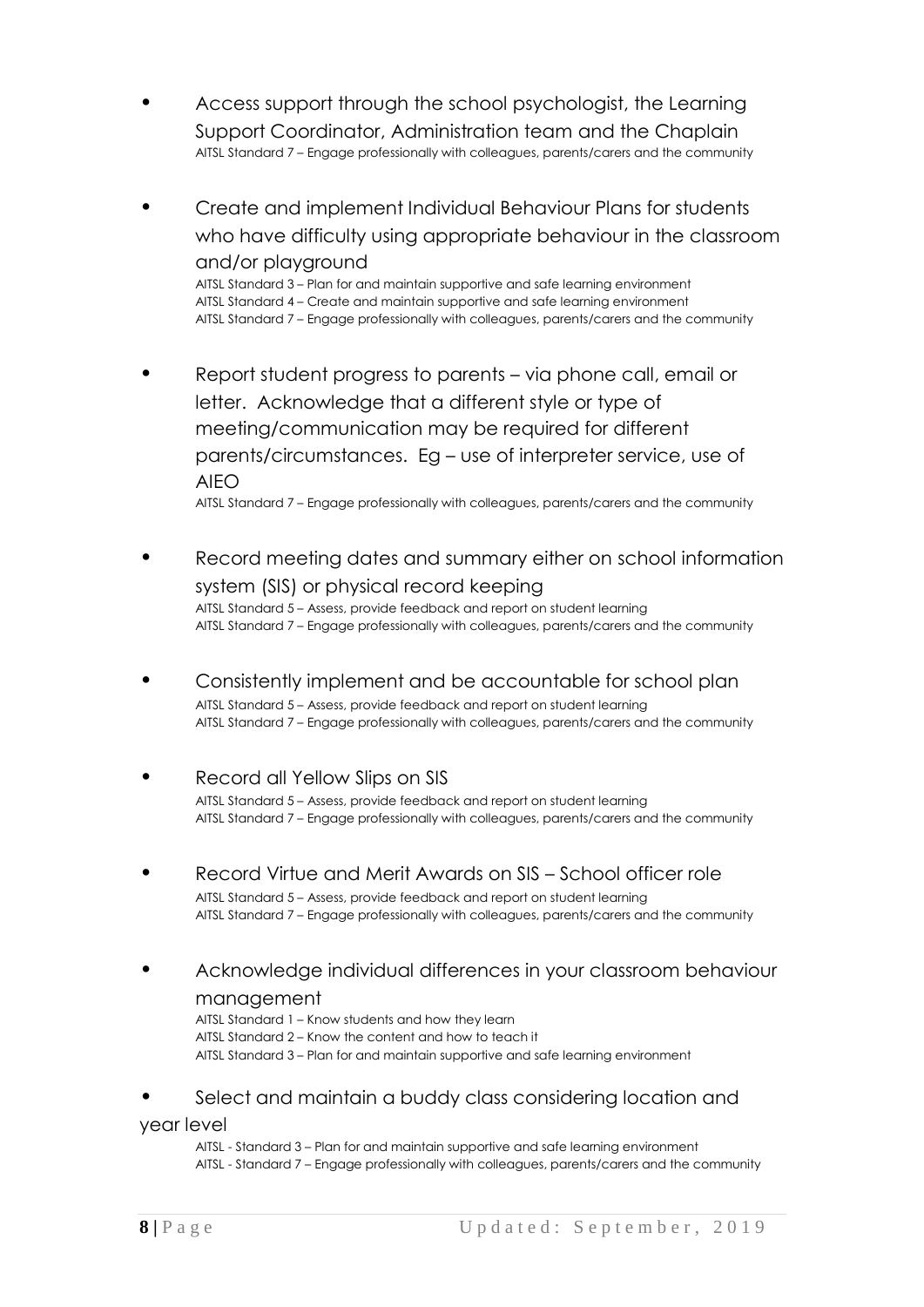- Access support through the school psychologist, the Learning Support Coordinator, Administration team and the Chaplain AITSL Standard 7 – Engage professionally with colleagues, parents/carers and the community
- Create and implement Individual Behaviour Plans for students who have difficulty using appropriate behaviour in the classroom and/or playground

AITSL Standard 3 – Plan for and maintain supportive and safe learning environment AITSL Standard 4 – Create and maintain supportive and safe learning environment AITSL Standard 7 – Engage professionally with colleagues, parents/carers and the community

• Report student progress to parents – via phone call, email or letter. Acknowledge that a different style or type of meeting/communication may be required for different parents/circumstances. Eg – use of interpreter service, use of AIEO

AITSL Standard 7 – Engage professionally with colleagues, parents/carers and the community

- Record meeting dates and summary either on school information system (SIS) or physical record keeping AITSL Standard 5 – Assess, provide feedback and report on student learning AITSL Standard 7 – Engage professionally with colleagues, parents/carers and the community
- Consistently implement and be accountable for school plan AITSL Standard 5 – Assess, provide feedback and report on student learning AITSL Standard 7 – Engage professionally with colleagues, parents/carers and the community
- Record all Yellow Slips on SIS AITSL Standard 5 – Assess, provide feedback and report on student learning AITSL Standard 7 – Engage professionally with colleagues, parents/carers and the community
- Record Virtue and Merit Awards on SIS School officer role AITSL Standard 5 – Assess, provide feedback and report on student learning AITSL Standard 7 – Engage professionally with colleagues, parents/carers and the community
- Acknowledge individual differences in your classroom behaviour management
	- AITSL Standard 1 Know students and how they learn AITSL Standard 2 – Know the content and how to teach it AITSL Standard 3 – Plan for and maintain supportive and safe learning environment
- Select and maintain a buddy class considering location and

#### year level

AITSL - Standard 3 – Plan for and maintain supportive and safe learning environment AITSL - Standard 7 – Engage professionally with colleagues, parents/carers and the community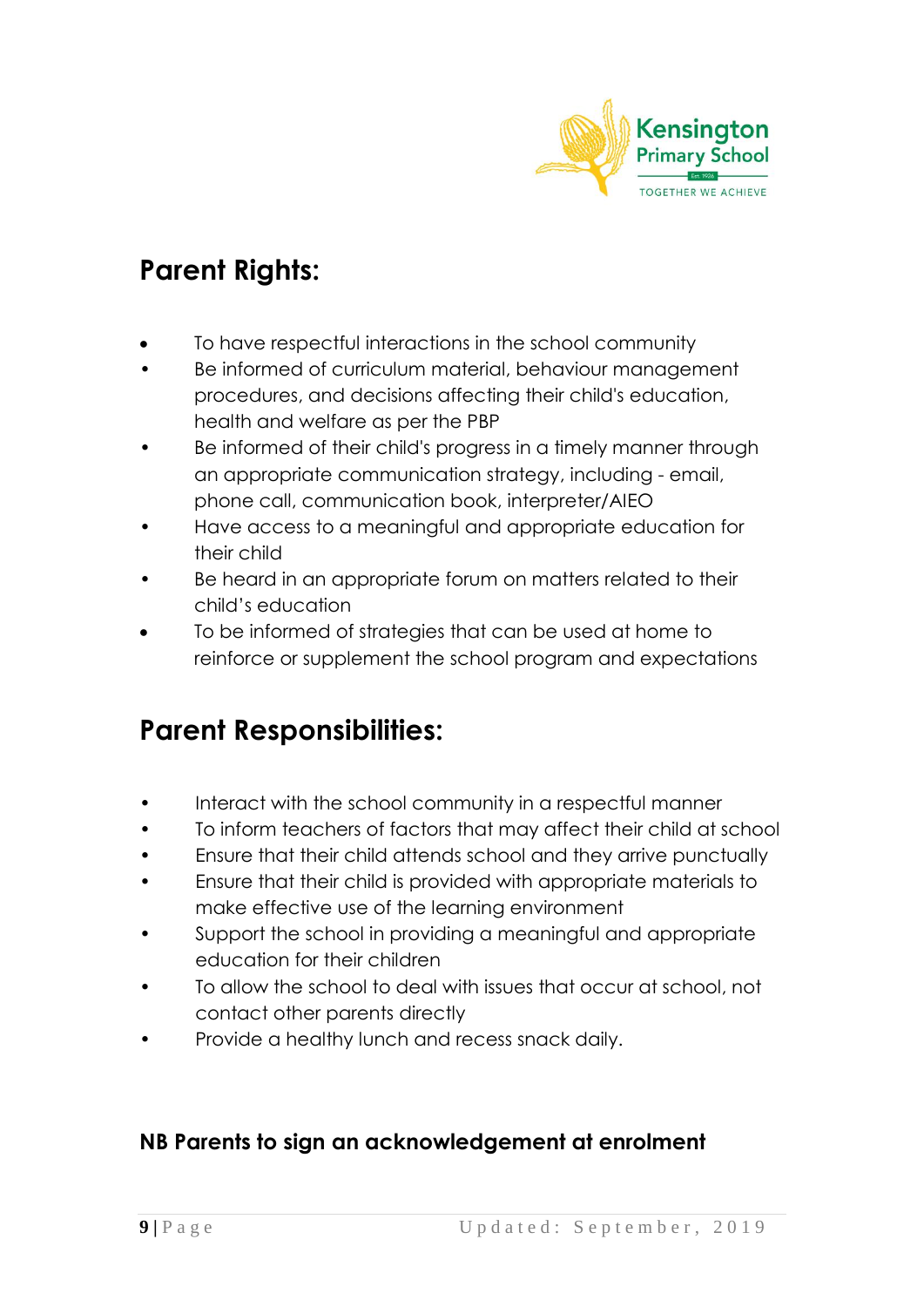

# **Parent Rights:**

- To have respectful interactions in the school community
- Be informed of curriculum material, behaviour management procedures, and decisions affecting their child's education, health and welfare as per the PBP
- Be informed of their child's progress in a timely manner through an appropriate communication strategy, including - email, phone call, communication book, interpreter/AIEO
- Have access to a meaningful and appropriate education for their child
- Be heard in an appropriate forum on matters related to their child's education
- To be informed of strategies that can be used at home to reinforce or supplement the school program and expectations

# **Parent Responsibilities:**

- **•** Interact with the school community in a respectful manner
- To inform teachers of factors that may affect their child at school
- Ensure that their child attends school and they arrive punctually
- Ensure that their child is provided with appropriate materials to make effective use of the learning environment
- Support the school in providing a meaningful and appropriate education for their children
- To allow the school to deal with issues that occur at school, not contact other parents directly
- Provide a healthy lunch and recess snack daily.

### **NB Parents to sign an acknowledgement at enrolment**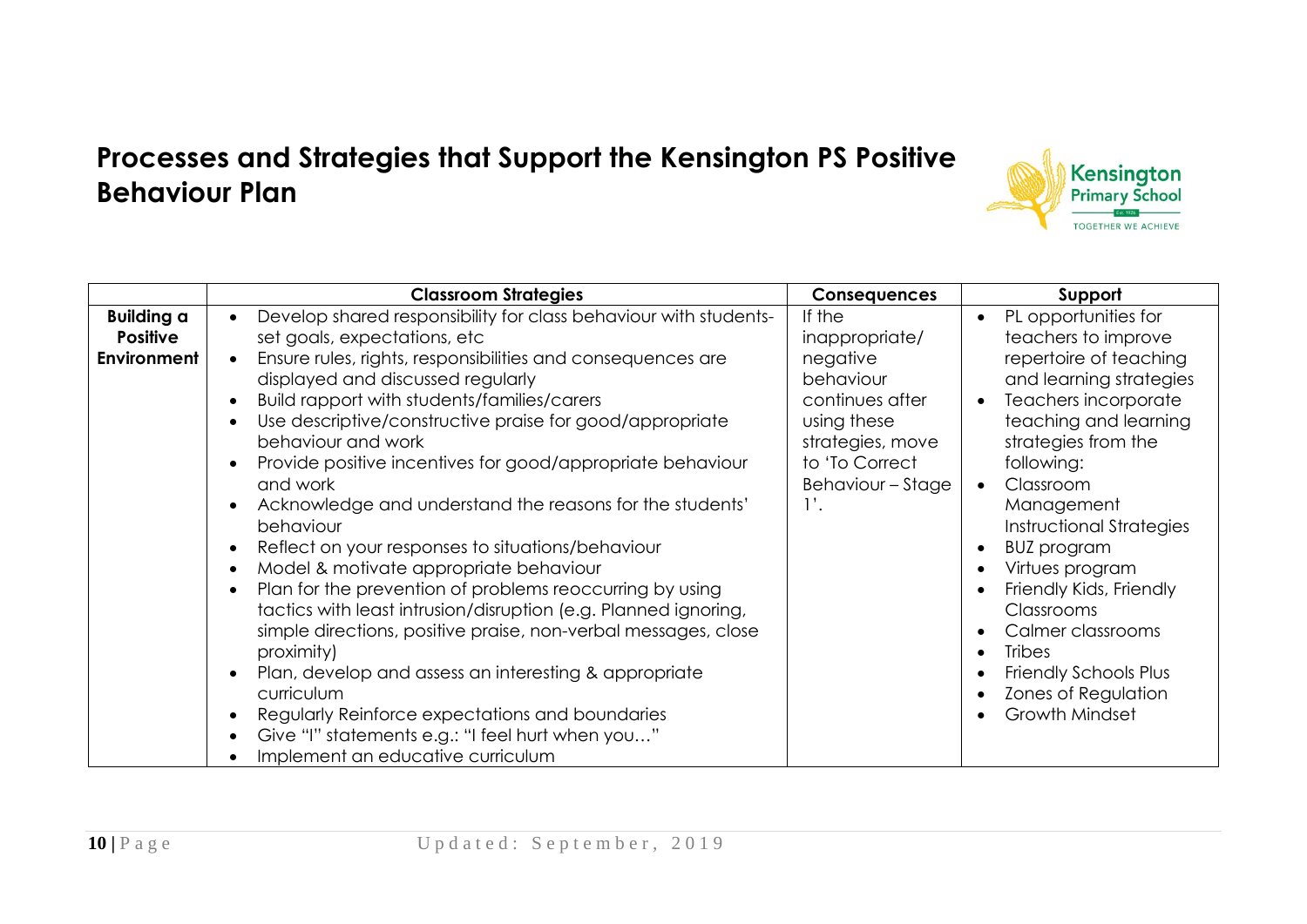# **Processes and Strategies that Support the Kensington PS Positive Behaviour Plan**

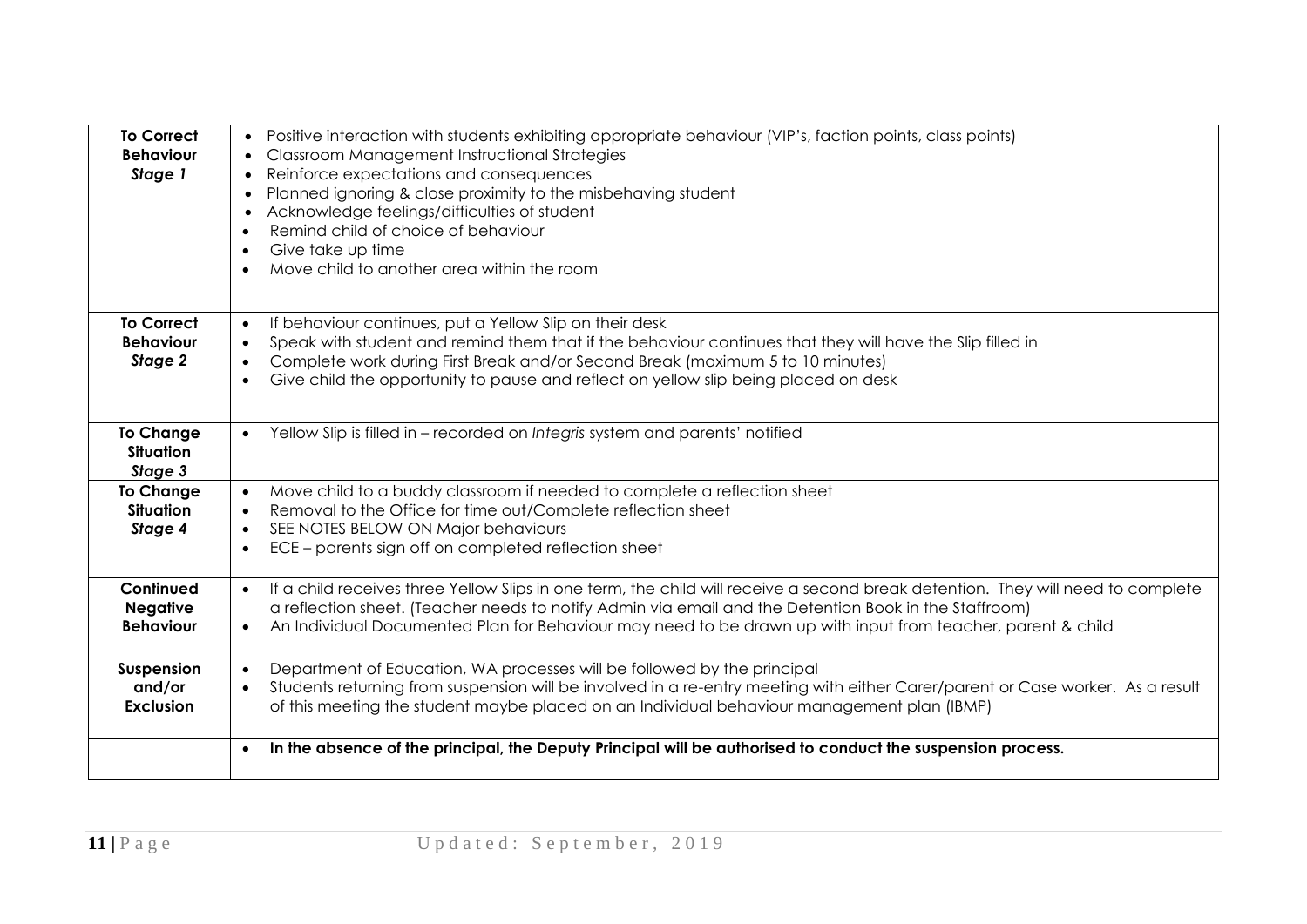| <b>To Correct</b><br><b>Behaviour</b><br>Stage 1 | Positive interaction with students exhibiting appropriate behaviour (VIP's, faction points, class points)<br>$\bullet$<br>Classroom Management Instructional Strategies<br>$\bullet$<br>Reinforce expectations and consequences<br>$\bullet$<br>Planned ignoring & close proximity to the misbehaving student<br>$\bullet$<br>Acknowledge feelings/difficulties of student                        |
|--------------------------------------------------|---------------------------------------------------------------------------------------------------------------------------------------------------------------------------------------------------------------------------------------------------------------------------------------------------------------------------------------------------------------------------------------------------|
|                                                  | Remind child of choice of behaviour<br>$\bullet$<br>Give take up time<br>$\bullet$<br>Move child to another area within the room<br>$\bullet$                                                                                                                                                                                                                                                     |
| <b>To Correct</b><br><b>Behaviour</b><br>Stage 2 | If behaviour continues, put a Yellow Slip on their desk<br>$\bullet$<br>Speak with student and remind them that if the behaviour continues that they will have the Slip filled in<br>$\bullet$<br>Complete work during First Break and/or Second Break (maximum 5 to 10 minutes)<br>$\bullet$<br>Give child the opportunity to pause and reflect on yellow slip being placed on desk<br>$\bullet$ |
| <b>To Change</b><br>Situation<br>Stage 3         | Yellow Slip is filled in - recorded on Integris system and parents' notified<br>$\bullet$                                                                                                                                                                                                                                                                                                         |
| <b>To Change</b><br><b>Situation</b><br>Stage 4  | Move child to a buddy classroom if needed to complete a reflection sheet<br>$\bullet$<br>Removal to the Office for time out/Complete reflection sheet<br>$\bullet$<br>SEE NOTES BELOW ON Major behaviours<br>$\bullet$<br>ECE – parents sign off on completed reflection sheet<br>$\bullet$                                                                                                       |
| Continued<br><b>Negative</b><br><b>Behaviour</b> | If a child receives three Yellow Slips in one term, the child will receive a second break detention. They will need to complete<br>$\bullet$<br>a reflection sheet. (Teacher needs to notify Admin via email and the Detention Book in the Staffroom)<br>An Individual Documented Plan for Behaviour may need to be drawn up with input from teacher, parent & child<br>$\bullet$                 |
| Suspension<br>and/or<br><b>Exclusion</b>         | Department of Education, WA processes will be followed by the principal<br>$\bullet$<br>Students returning from suspension will be involved in a re-entry meeting with either Carer/parent or Case worker. As a result<br>$\bullet$<br>of this meeting the student maybe placed on an Individual behaviour management plan (IBMP)                                                                 |
|                                                  | In the absence of the principal, the Deputy Principal will be authorised to conduct the suspension process.<br>$\bullet$                                                                                                                                                                                                                                                                          |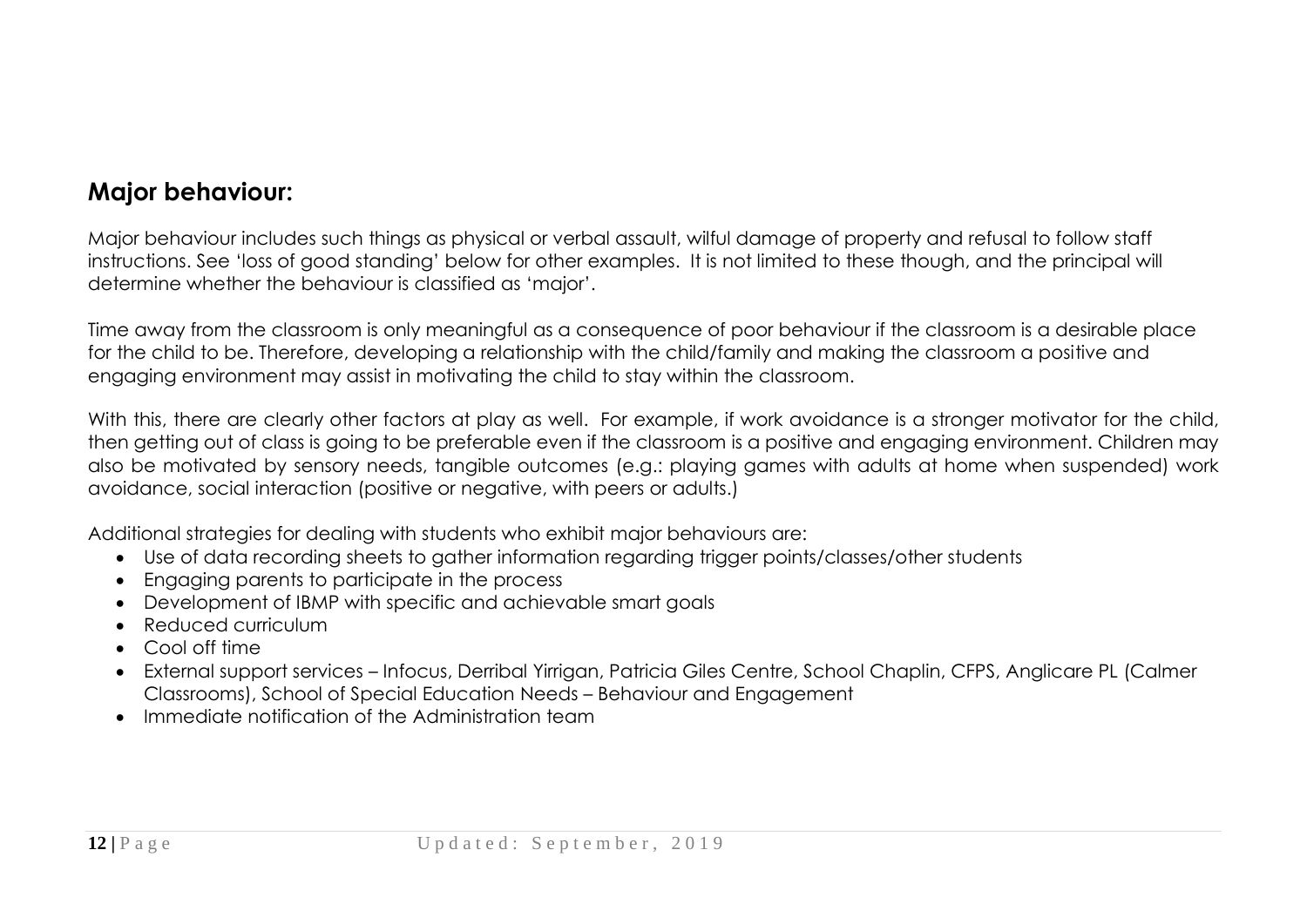### **Major behaviour:**

Major behaviour includes such things as physical or verbal assault, wilful damage of property and refusal to follow staff instructions. See 'loss of good standing' below for other examples. It is not limited to these though, and the principal will determine whether the behaviour is classified as 'major'.

Time away from the classroom is only meaningful as a consequence of poor behaviour if the classroom is a desirable place for the child to be. Therefore, developing a relationship with the child/family and making the classroom a positive and engaging environment may assist in motivating the child to stay within the classroom.

With this, there are clearly other factors at play as well. For example, if work avoidance is a stronger motivator for the child, then getting out of class is going to be preferable even if the classroom is a positive and engaging environment. Children may also be motivated by sensory needs, tangible outcomes (e.g.: playing games with adults at home when suspended) work avoidance, social interaction (positive or negative, with peers or adults.)

Additional strategies for dealing with students who exhibit major behaviours are:

- Use of data recording sheets to gather information regarding trigger points/classes/other students
- Engaging parents to participate in the process
- Development of IBMP with specific and achievable smart goals
- Reduced curriculum
- Cool off time
- External support services Infocus, Derribal Yirrigan, Patricia Giles Centre, School Chaplin, CFPS, Anglicare PL (Calmer Classrooms), School of Special Education Needs – Behaviour and Engagement
- Immediate notification of the Administration team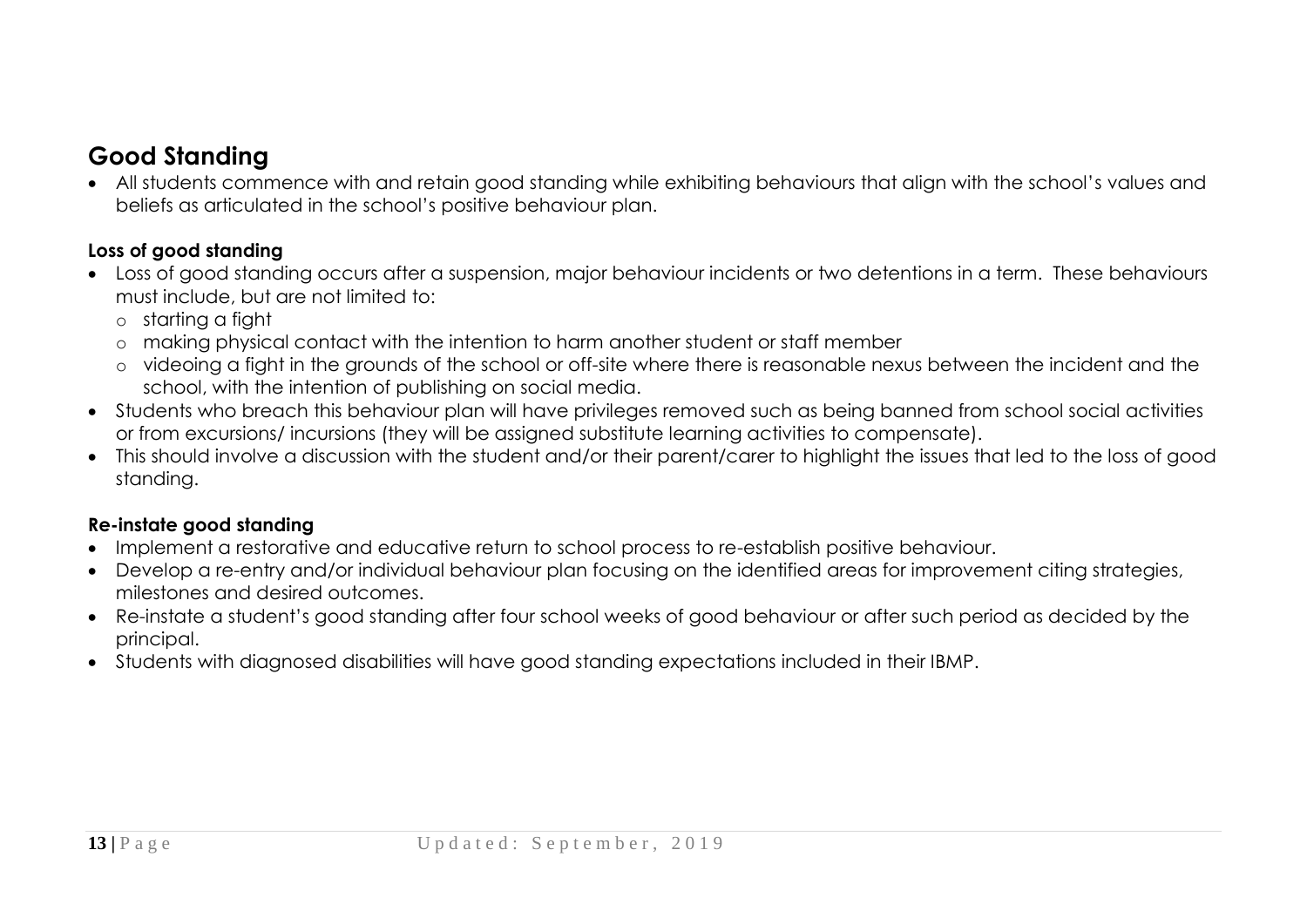### **Good Standing**

 All students commence with and retain good standing while exhibiting behaviours that align with the school's values and beliefs as articulated in the school's positive behaviour plan.

#### **Loss of good standing**

- Loss of good standing occurs after a suspension, major behaviour incidents or two detentions in a term. These behaviours must include, but are not limited to:
	- o starting a fight
	- o making physical contact with the intention to harm another student or staff member
	- o videoing a fight in the grounds of the school or off-site where there is reasonable nexus between the incident and the school, with the intention of publishing on social media.
- Students who breach this behaviour plan will have privileges removed such as being banned from school social activities or from excursions/ incursions (they will be assigned substitute learning activities to compensate).
- This should involve a discussion with the student and/or their parent/carer to highlight the issues that led to the loss of good standing.

#### **Re-instate good standing**

- Implement a restorative and educative return to school process to re-establish positive behaviour.
- Develop a re-entry and/or individual behaviour plan focusing on the identified areas for improvement citing strategies, milestones and desired outcomes.
- Re-instate a student's good standing after four school weeks of good behaviour or after such period as decided by the principal.
- Students with diagnosed disabilities will have good standing expectations included in their IBMP.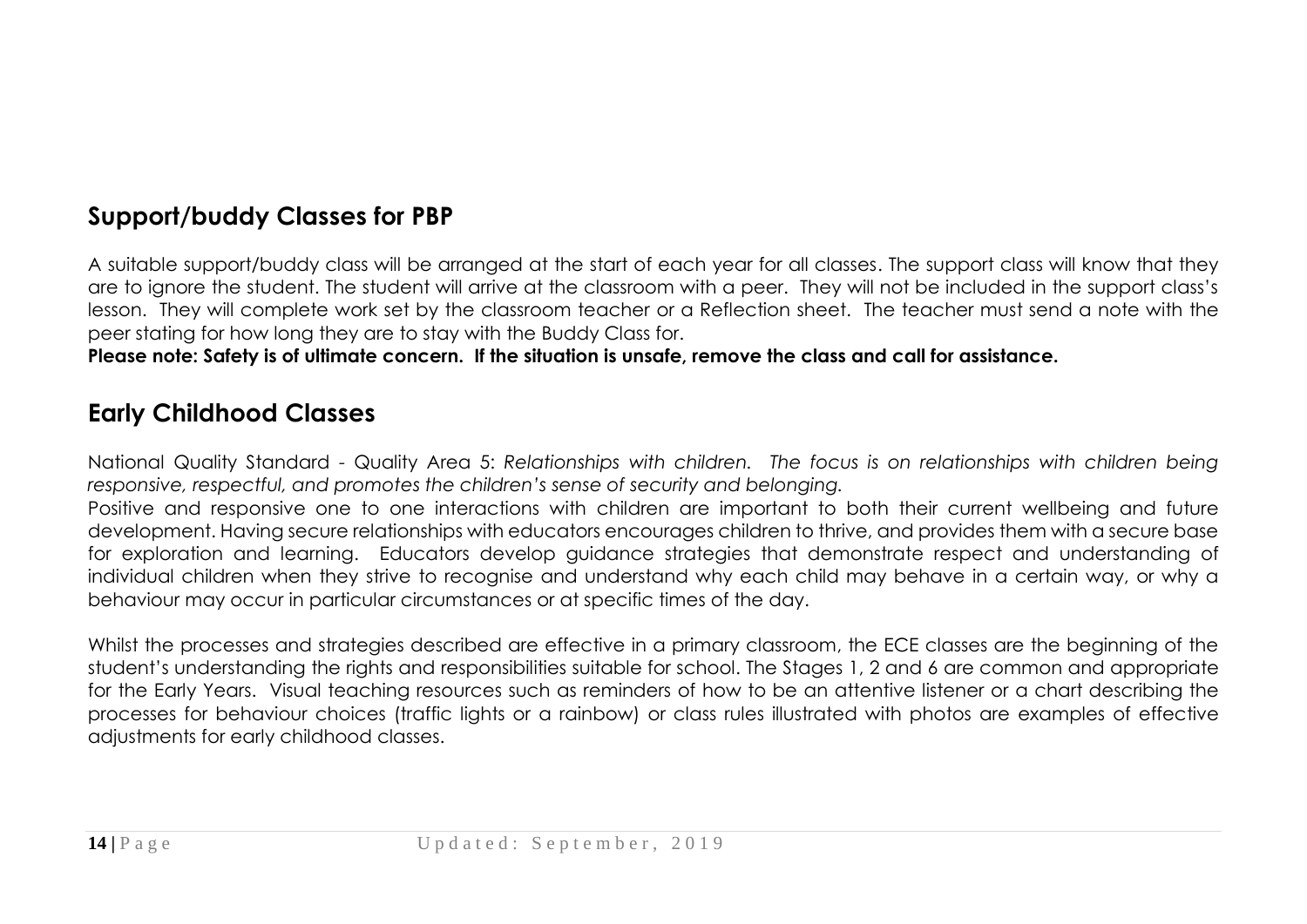### **Support/buddy Classes for PBP**

A suitable support/buddy class will be arranged at the start of each year for all classes. The support class will know that they are to ignore the student. The student will arrive at the classroom with a peer. They will not be included in the support class's lesson. They will complete work set by the classroom teacher or a Reflection sheet. The teacher must send a note with the peer stating for how long they are to stay with the Buddy Class for.

**Please note: Safety is of ultimate concern. If the situation is unsafe, remove the class and call for assistance.**

### **Early Childhood Classes**

National Quality Standard - Quality Area 5: *Relationships with children. The focus is on relationships with children being responsive, respectful, and promotes the children's sense of security and belonging.*

Positive and responsive one to one interactions with children are important to both their current wellbeing and future development. Having secure relationships with educators encourages children to thrive, and provides them with a secure base for exploration and learning. Educators develop guidance strategies that demonstrate respect and understanding of individual children when they strive to recognise and understand why each child may behave in a certain way, or why a behaviour may occur in particular circumstances or at specific times of the day.

Whilst the processes and strategies described are effective in a primary classroom, the ECE classes are the beginning of the student's understanding the rights and responsibilities suitable for school. The Stages 1, 2 and 6 are common and appropriate for the Early Years. Visual teaching resources such as reminders of how to be an attentive listener or a chart describing the processes for behaviour choices (traffic lights or a rainbow) or class rules illustrated with photos are examples of effective adjustments for early childhood classes.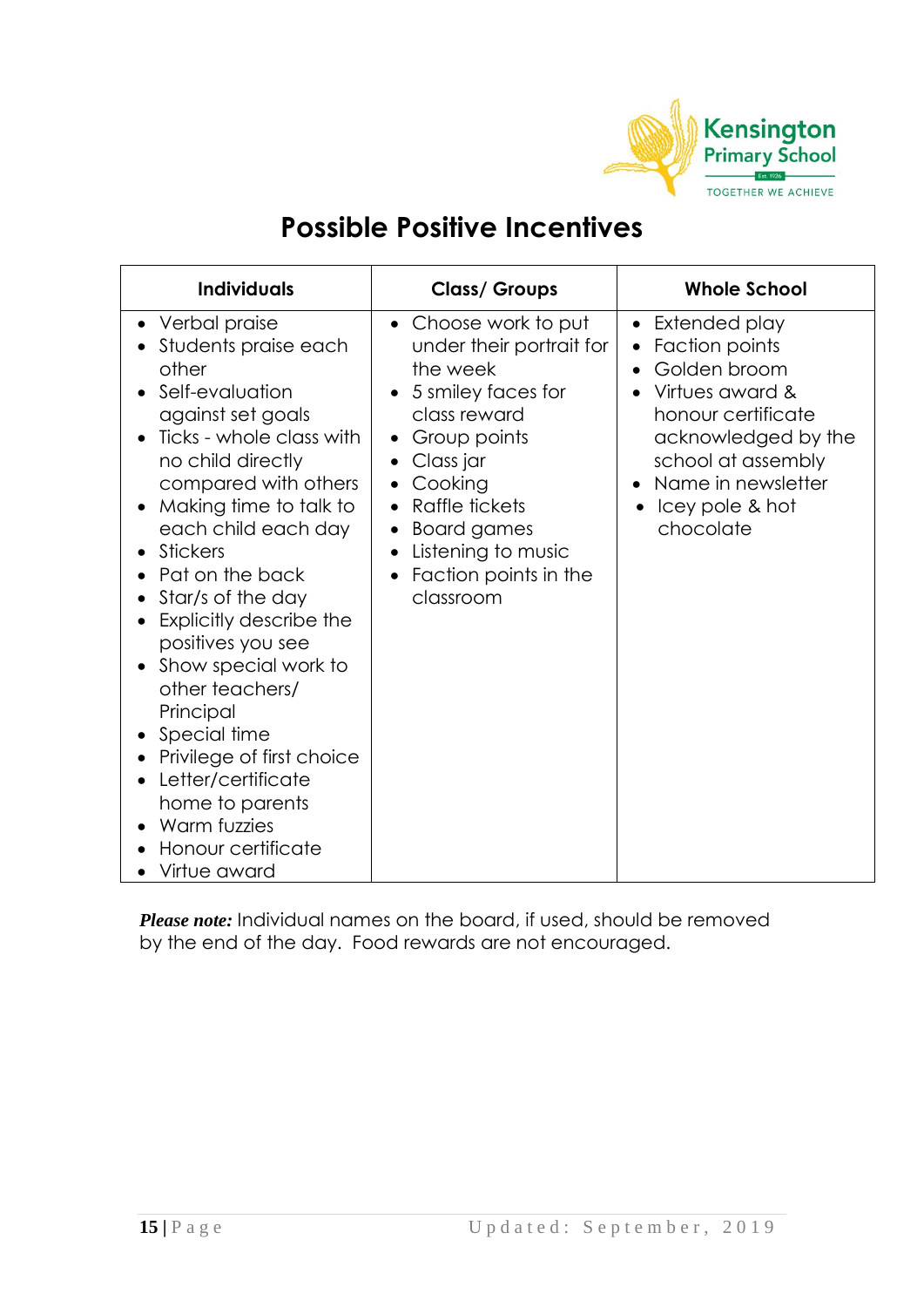

# **Possible Positive Incentives**

| <b>Individuals</b>                                                                                                                                                                                                                                                                                                                                                                                                                                                                                                                | <b>Class/ Groups</b>                                                                                                                                                                                                                                                                             | <b>Whole School</b>                                                                                                                                                                                                                |
|-----------------------------------------------------------------------------------------------------------------------------------------------------------------------------------------------------------------------------------------------------------------------------------------------------------------------------------------------------------------------------------------------------------------------------------------------------------------------------------------------------------------------------------|--------------------------------------------------------------------------------------------------------------------------------------------------------------------------------------------------------------------------------------------------------------------------------------------------|------------------------------------------------------------------------------------------------------------------------------------------------------------------------------------------------------------------------------------|
| • Verbal praise<br>Students praise each<br>other<br>Self-evaluation<br>against set goals<br>Ticks - whole class with<br>no child directly<br>compared with others<br>Making time to talk to<br>each child each day<br><b>Stickers</b><br>Pat on the back<br>Star/s of the day<br>Explicitly describe the<br>positives you see<br>Show special work to<br>other teachers/<br>Principal<br>Special time<br>Privilege of first choice<br>Letter/certificate<br>home to parents<br>Warm fuzzies<br>Honour certificate<br>Virtue award | Choose work to put<br>$\bullet$<br>under their portrait for<br>the week<br>5 smiley faces for<br>class reward<br>Group points<br>Class jar<br>$\bullet$<br>Cooking<br>$\bullet$<br>Raffle tickets<br><b>Board games</b><br>Listening to music<br>$\bullet$<br>Faction points in the<br>classroom | Extended play<br>$\bullet$<br>Faction points<br>$\bullet$<br>Golden broom<br>$\bullet$<br>Virtues award &<br>honour certificate<br>acknowledged by the<br>school at assembly<br>Name in newsletter<br>Icey pole & hot<br>chocolate |

*Please note:* Individual names on the board, if used, should be removed by the end of the day. Food rewards are not encouraged.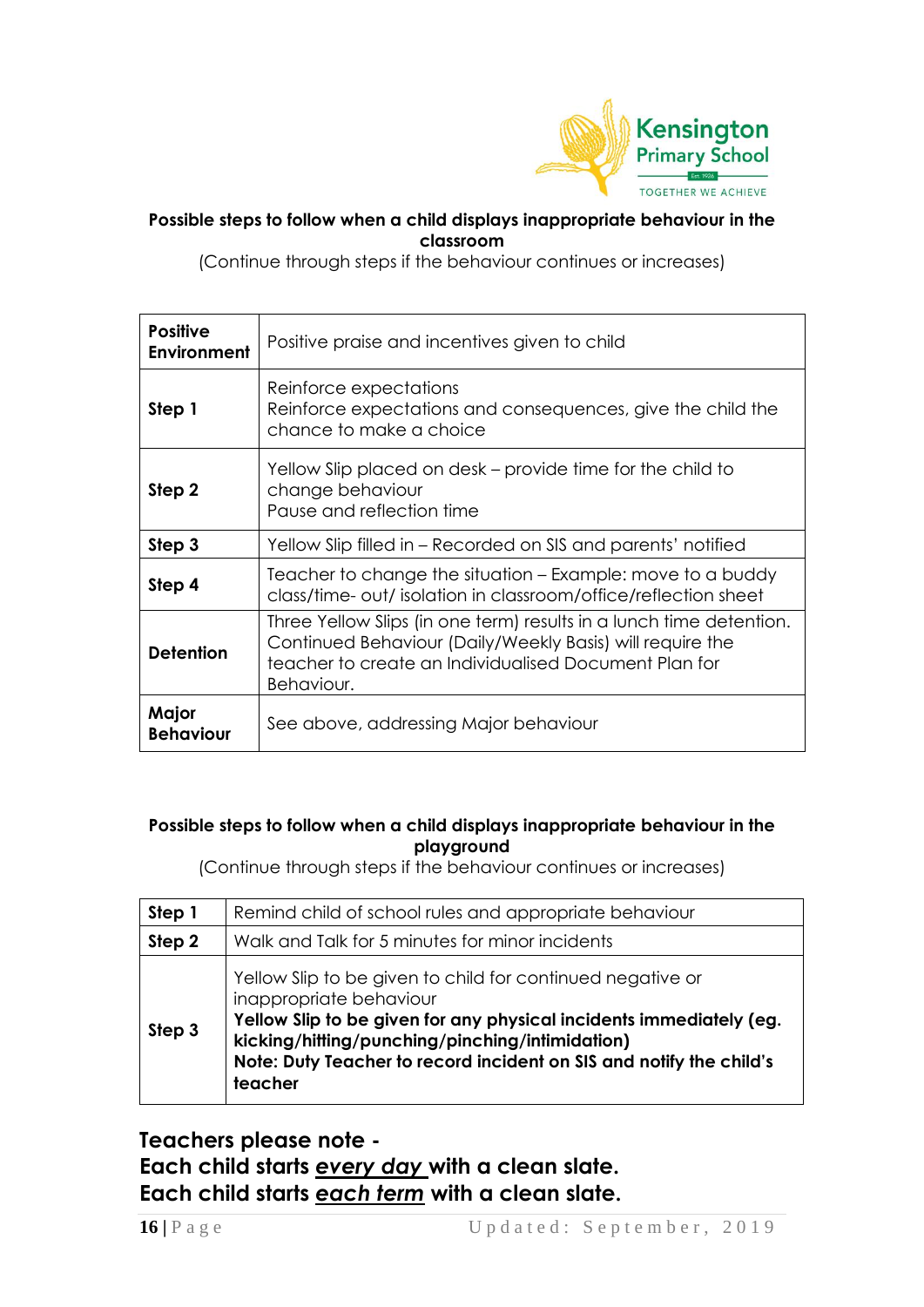

#### **Possible steps to follow when a child displays inappropriate behaviour in the classroom**

(Continue through steps if the behaviour continues or increases)

| <b>Positive</b><br>Environment                                                                                        | Positive praise and incentives given to child                                                                                                                                                           |  |  |  |
|-----------------------------------------------------------------------------------------------------------------------|---------------------------------------------------------------------------------------------------------------------------------------------------------------------------------------------------------|--|--|--|
| Step 1                                                                                                                | Reinforce expectations<br>Reinforce expectations and consequences, give the child the<br>chance to make a choice                                                                                        |  |  |  |
| Yellow Slip placed on desk – provide time for the child to<br>change behaviour<br>Step 2<br>Pause and reflection time |                                                                                                                                                                                                         |  |  |  |
| Step 3                                                                                                                | Yellow Slip filled in – Recorded on SIS and parents' notified                                                                                                                                           |  |  |  |
| Step 4                                                                                                                | Teacher to change the situation – Example: move to a buddy<br>class/time- out/ isolation in classroom/office/reflection sheet                                                                           |  |  |  |
| <b>Detention</b>                                                                                                      | Three Yellow Slips (in one term) results in a lunch time detention.<br>Continued Behaviour (Daily/Weekly Basis) will require the<br>teacher to create an Individualised Document Plan for<br>Behaviour. |  |  |  |
| Major<br><b>Behaviour</b>                                                                                             | See above, addressing Major behaviour                                                                                                                                                                   |  |  |  |

#### **Possible steps to follow when a child displays inappropriate behaviour in the playground**

(Continue through steps if the behaviour continues or increases)

| Step 1 | Remind child of school rules and appropriate behaviour                                                                                                                                                                                                                                            |  |  |  |  |  |
|--------|---------------------------------------------------------------------------------------------------------------------------------------------------------------------------------------------------------------------------------------------------------------------------------------------------|--|--|--|--|--|
| Step 2 | Walk and Talk for 5 minutes for minor incidents                                                                                                                                                                                                                                                   |  |  |  |  |  |
| Step 3 | Yellow Slip to be given to child for continued negative or<br>inappropriate behaviour<br>Yellow Slip to be given for any physical incidents immediately (eg.<br>kicking/hitting/punching/pinching/intimidation)<br>Note: Duty Teacher to record incident on SIS and notify the child's<br>teacher |  |  |  |  |  |

### **Teachers please note - Each child starts** *every day* **with a clean slate. Each child starts** *each term* **with a clean slate.**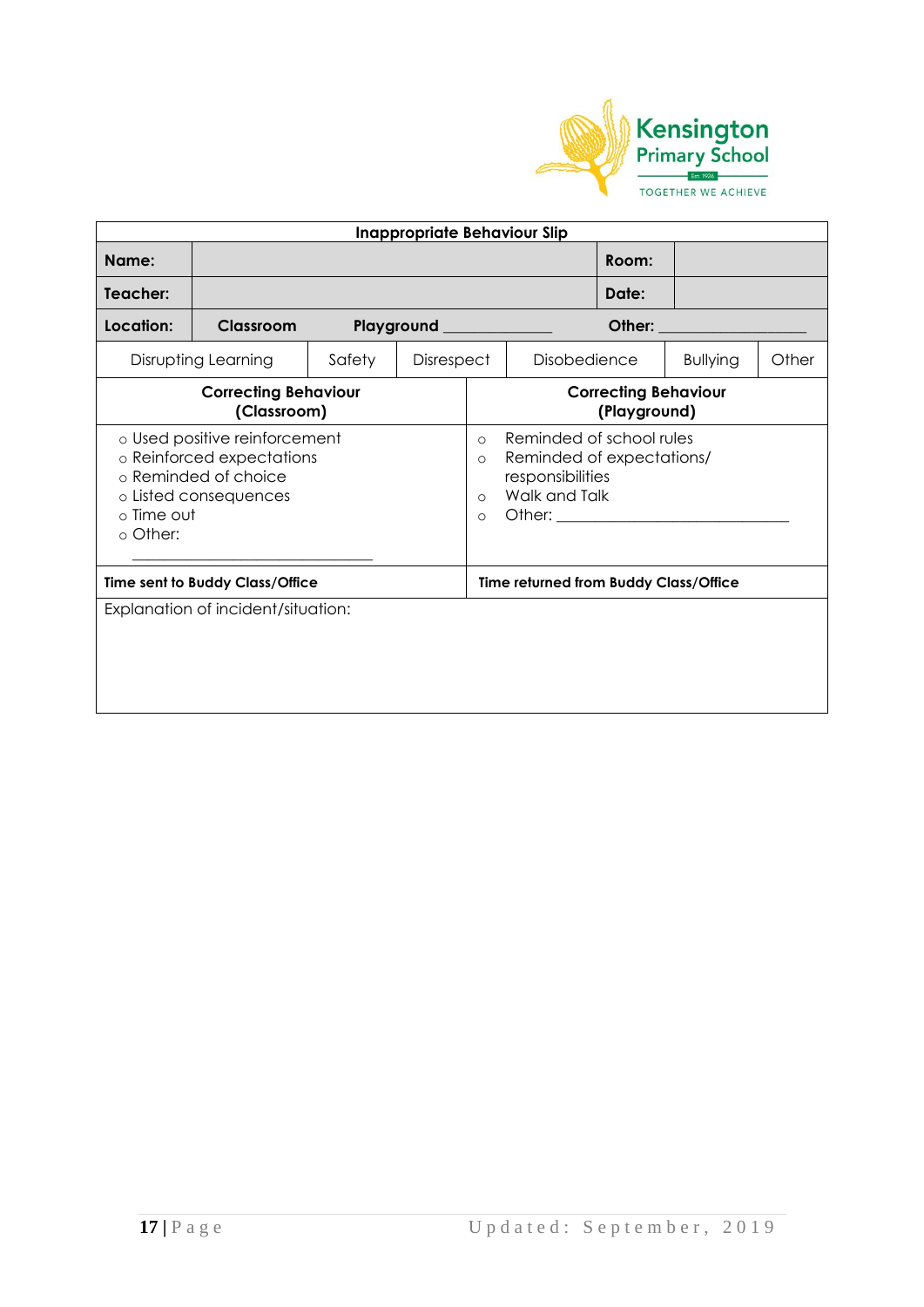

| <b>Inappropriate Behaviour Slip</b>                                                                                                   |                                            |  |                                                                                                                                                                    |  |                                             |       |                   |  |
|---------------------------------------------------------------------------------------------------------------------------------------|--------------------------------------------|--|--------------------------------------------------------------------------------------------------------------------------------------------------------------------|--|---------------------------------------------|-------|-------------------|--|
| Name:                                                                                                                                 |                                            |  |                                                                                                                                                                    |  |                                             | Room: |                   |  |
| Teacher:                                                                                                                              |                                            |  |                                                                                                                                                                    |  |                                             | Date: |                   |  |
| Location:                                                                                                                             | Classroom                                  |  | Playground _________                                                                                                                                               |  |                                             |       | Other: __________ |  |
| Disrupting Learning<br>Safety<br><b>Disobedience</b><br><b>Disrespect</b><br><b>Bullying</b>                                          |                                            |  |                                                                                                                                                                    |  | Other                                       |       |                   |  |
|                                                                                                                                       | <b>Correcting Behaviour</b><br>(Classroom) |  |                                                                                                                                                                    |  | <b>Correcting Behaviour</b><br>(Playground) |       |                   |  |
| o Used positive reinforcement<br>o Reinforced expectations<br>o Reminded of choice<br>o Listed consequences<br>o Time out<br>o Other: |                                            |  | Reminded of school rules<br>$\Omega$<br>Reminded of expectations/<br>$\circ$<br>responsibilities<br>Walk and Talk<br>$\circ$<br>Other: ________________<br>$\circ$ |  |                                             |       |                   |  |
| Time sent to Buddy Class/Office                                                                                                       |                                            |  | Time returned from Buddy Class/Office                                                                                                                              |  |                                             |       |                   |  |
|                                                                                                                                       | Explanation of incident/situation:         |  |                                                                                                                                                                    |  |                                             |       |                   |  |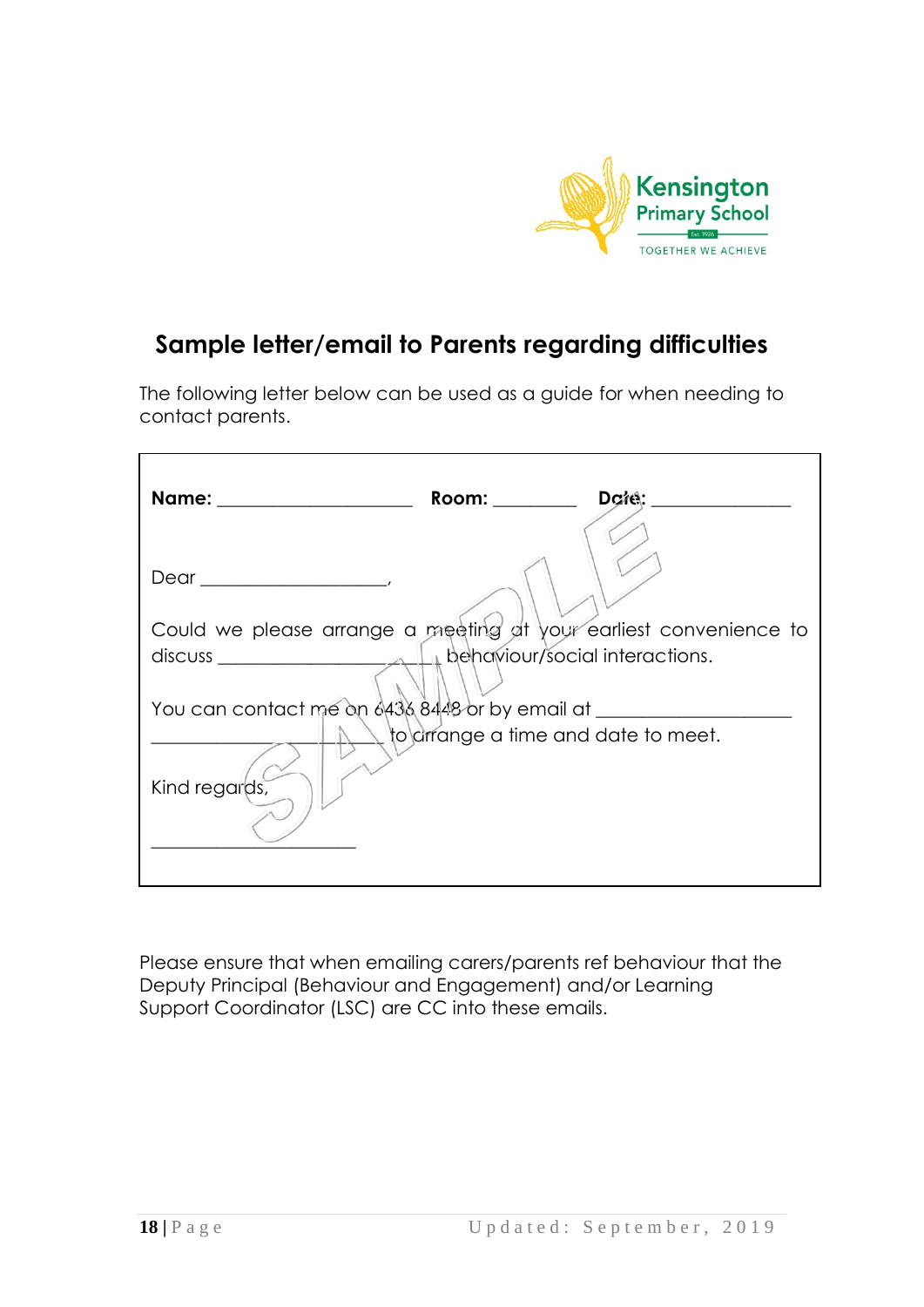

### **Sample letter/email to Parents regarding difficulties**

The following letter below can be used as a guide for when needing to contact parents.

| Room: $\qquad \qquad$<br>$D$ cree:<br>Name: ______________________ |
|--------------------------------------------------------------------|
|                                                                    |
| Could we please arrange a meeting at your earliest convenience to  |
|                                                                    |
| You can contact me on 6436 8448 or by email at _______             |
| to arrange a time and date to meet.<br>Kind regards,               |

Please ensure that when emailing carers/parents ref behaviour that the Deputy Principal (Behaviour and Engagement) and/or Learning Support Coordinator (LSC) are CC into these emails.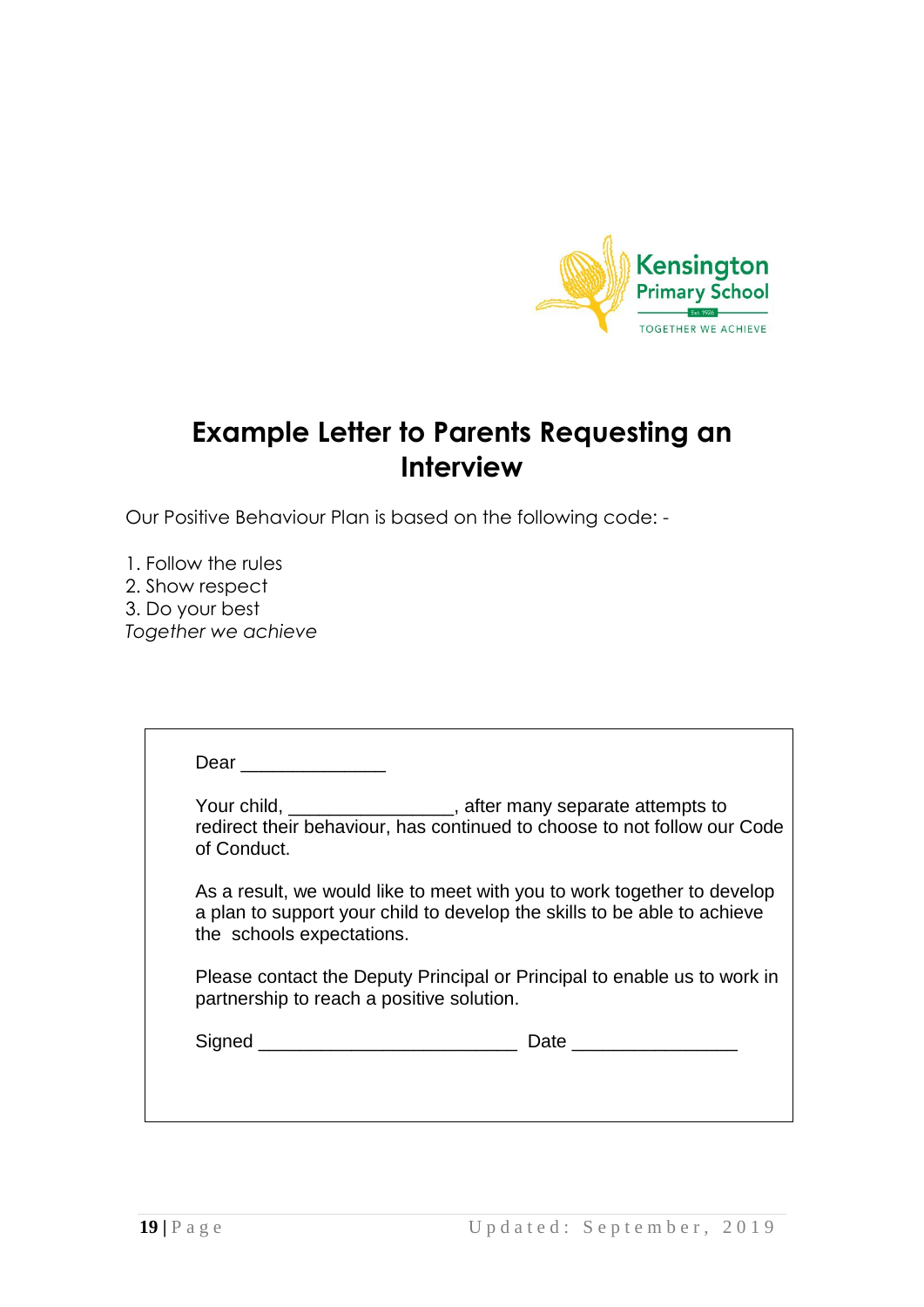

### **Example Letter to Parents Requesting an Interview**

Our Positive Behaviour Plan is based on the following code: -

1. Follow the rules 2. Show respect 3. Do your best *Together we achieve*

| of Conduct.                               | Your child, __________________, after many separate attempts to<br>redirect their behaviour, has continued to choose to not follow our Code         |
|-------------------------------------------|-----------------------------------------------------------------------------------------------------------------------------------------------------|
| the schools expectations.                 | As a result, we would like to meet with you to work together to develop<br>a plan to support your child to develop the skills to be able to achieve |
| partnership to reach a positive solution. | Please contact the Deputy Principal or Principal to enable us to work in                                                                            |
|                                           |                                                                                                                                                     |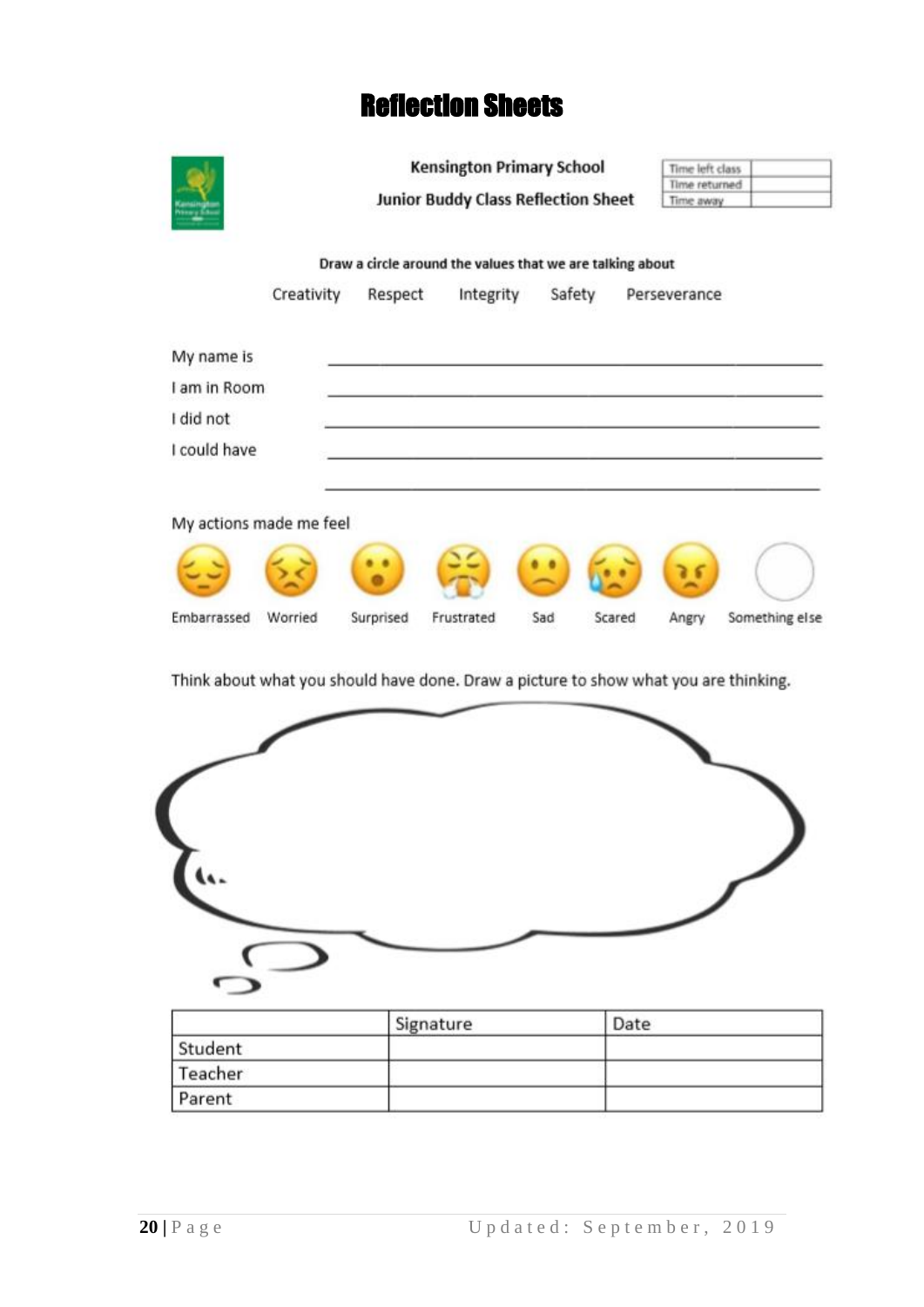### Reflection Sheets



|         | Signature | Date |  |
|---------|-----------|------|--|
| Student |           |      |  |
| Teacher |           |      |  |
| Parent  |           |      |  |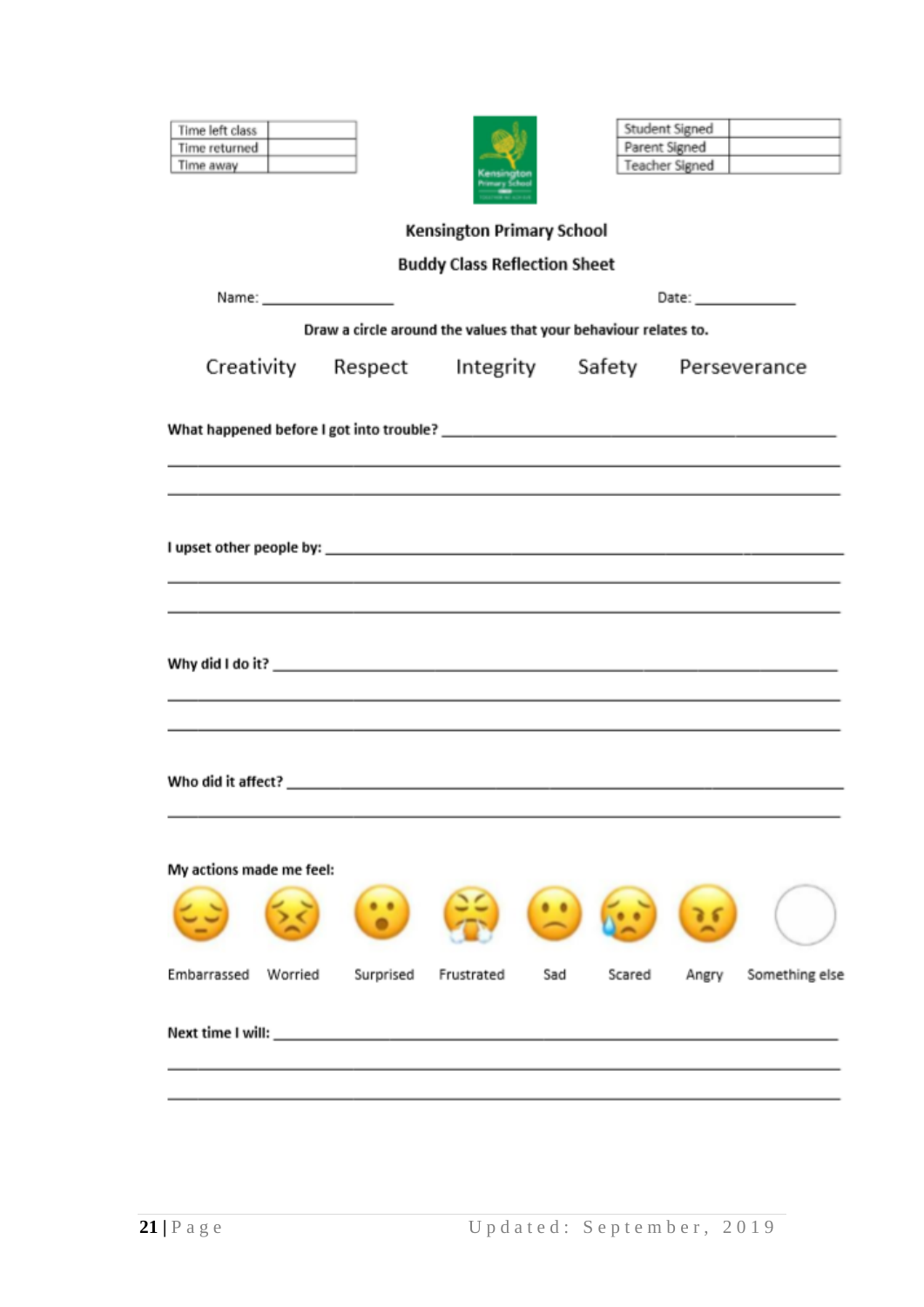| Time left class          |                                                                 |                                     |               | Student Signed                 |                |
|--------------------------|-----------------------------------------------------------------|-------------------------------------|---------------|--------------------------------|----------------|
| Time returned            |                                                                 |                                     |               | Parent Signed                  |                |
| Time away                |                                                                 |                                     |               | Teacher Signed                 |                |
|                          |                                                                 |                                     |               |                                |                |
|                          |                                                                 | <b>Kensington Primary School</b>    |               |                                |                |
|                          |                                                                 | <b>Buddy Class Reflection Sheet</b> |               |                                |                |
|                          |                                                                 |                                     |               | Date: <b>William Committee</b> |                |
|                          | Draw a circle around the values that your behaviour relates to. |                                     |               |                                |                |
|                          | Creativity Respect Integrity Safety Perseverance                |                                     |               |                                |                |
|                          |                                                                 |                                     |               |                                |                |
|                          |                                                                 |                                     |               |                                |                |
|                          |                                                                 |                                     |               |                                |                |
|                          |                                                                 |                                     |               |                                |                |
|                          |                                                                 |                                     |               |                                |                |
|                          |                                                                 |                                     |               |                                |                |
|                          |                                                                 |                                     |               |                                |                |
|                          |                                                                 |                                     |               |                                |                |
|                          |                                                                 |                                     |               |                                |                |
|                          |                                                                 |                                     |               |                                |                |
|                          |                                                                 |                                     |               |                                |                |
|                          |                                                                 |                                     |               |                                |                |
|                          |                                                                 |                                     |               |                                |                |
|                          |                                                                 |                                     |               |                                |                |
|                          |                                                                 |                                     |               |                                |                |
|                          |                                                                 |                                     |               |                                |                |
| My actions made me feel: |                                                                 |                                     |               |                                |                |
|                          |                                                                 |                                     |               |                                |                |
|                          |                                                                 |                                     |               |                                |                |
|                          |                                                                 |                                     |               |                                |                |
| Embarrassed<br>Worried   | Surprised                                                       | Frustrated                          | Sad<br>Scared | Angry                          | Something else |
|                          |                                                                 |                                     |               |                                |                |
|                          |                                                                 |                                     |               |                                |                |
|                          |                                                                 |                                     |               |                                |                |
|                          |                                                                 |                                     |               |                                |                |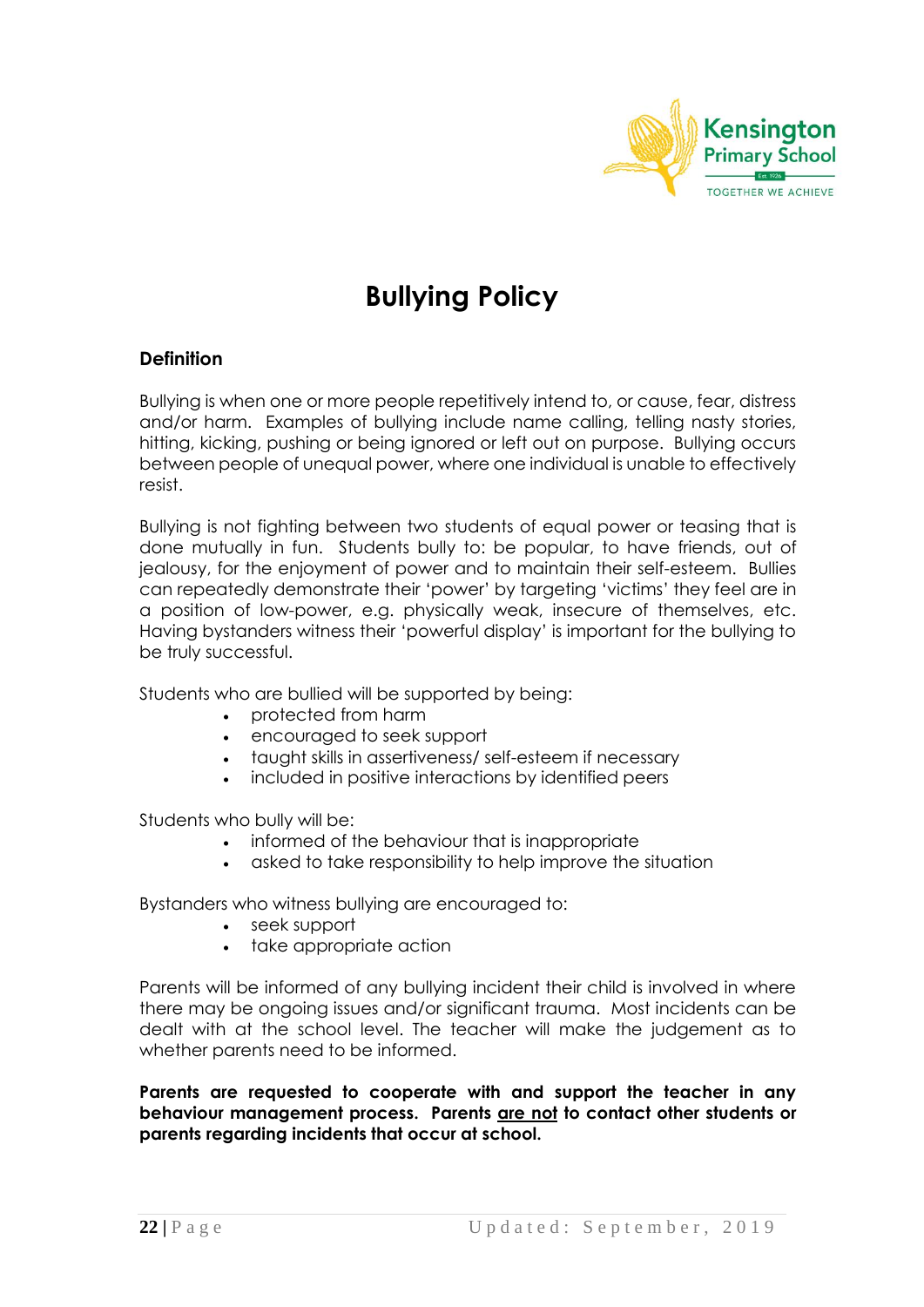

# **Bullying Policy**

#### **Definition**

Bullying is when one or more people repetitively intend to, or cause, fear, distress and/or harm. Examples of bullying include name calling, telling nasty stories, hitting, kicking, pushing or being ignored or left out on purpose. Bullying occurs between people of unequal power, where one individual is unable to effectively resist.

Bullying is not fighting between two students of equal power or teasing that is done mutually in fun. Students bully to: be popular, to have friends, out of jealousy, for the enjoyment of power and to maintain their self-esteem. Bullies can repeatedly demonstrate their 'power' by targeting 'victims' they feel are in a position of low-power, e.g. physically weak, insecure of themselves, etc. Having bystanders witness their 'powerful display' is important for the bullying to be truly successful.

Students who are bullied will be supported by being:

- protected from harm
- encouraged to seek support
- taught skills in assertiveness/ self-esteem if necessary
- $\bullet$  included in positive interactions by identified peers

Students who bully will be:

- informed of the behaviour that is inappropriate
- asked to take responsibility to help improve the situation

Bystanders who witness bullying are encouraged to:

- seek support
- take appropriate action

Parents will be informed of any bullying incident their child is involved in where there may be ongoing issues and/or significant trauma. Most incidents can be dealt with at the school level. The teacher will make the judgement as to whether parents need to be informed.

**Parents are requested to cooperate with and support the teacher in any behaviour management process. Parents are not to contact other students or parents regarding incidents that occur at school.**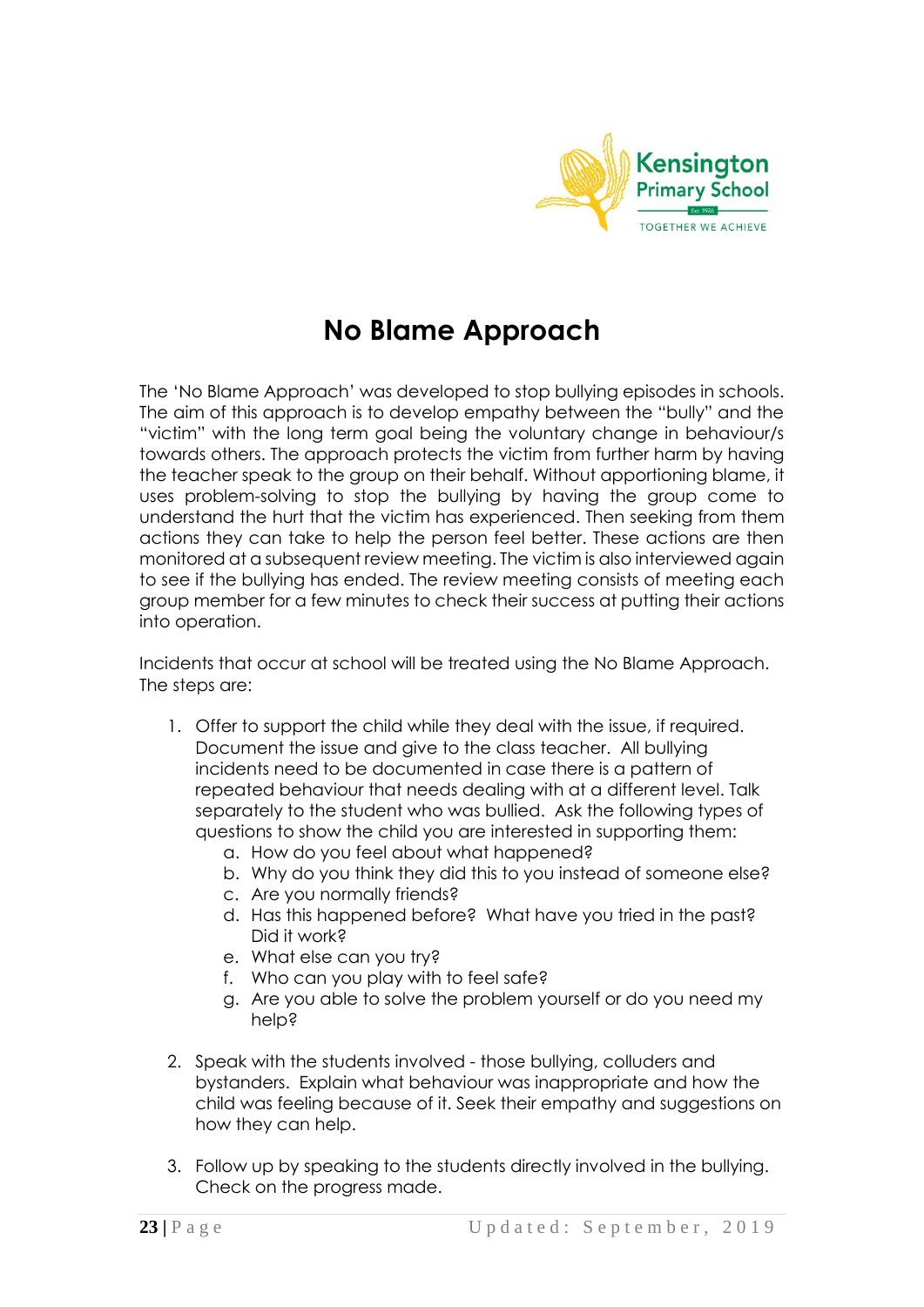

# **No Blame Approach**

The 'No Blame Approach' was developed to stop bullying episodes in schools. The aim of this approach is to develop empathy between the "bully" and the "victim" with the long term goal being the voluntary change in behaviour/s towards others. The approach protects the victim from further harm by having the teacher speak to the group on their behalf. Without apportioning blame, it uses problem-solving to stop the bullying by having the group come to understand the hurt that the victim has experienced. Then seeking from them actions they can take to help the person feel better. These actions are then monitored at a subsequent review meeting. The victim is also interviewed again to see if the bullying has ended. The review meeting consists of meeting each group member for a few minutes to check their success at putting their actions into operation.

Incidents that occur at school will be treated using the No Blame Approach. The steps are:

- 1. Offer to support the child while they deal with the issue, if required. Document the issue and give to the class teacher. All bullying incidents need to be documented in case there is a pattern of repeated behaviour that needs dealing with at a different level. Talk separately to the student who was bullied. Ask the following types of questions to show the child you are interested in supporting them:
	- a. How do you feel about what happened?
	- b. Why do you think they did this to you instead of someone else?
	- c. Are you normally friends?
	- d. Has this happened before? What have you tried in the past? Did it work?
	- e. What else can you try?
	- f. Who can you play with to feel safe?
	- g. Are you able to solve the problem yourself or do you need my help?
- 2. Speak with the students involved those bullying, colluders and bystanders. Explain what behaviour was inappropriate and how the child was feeling because of it. Seek their empathy and suggestions on how they can help.
- 3. Follow up by speaking to the students directly involved in the bullying. Check on the progress made.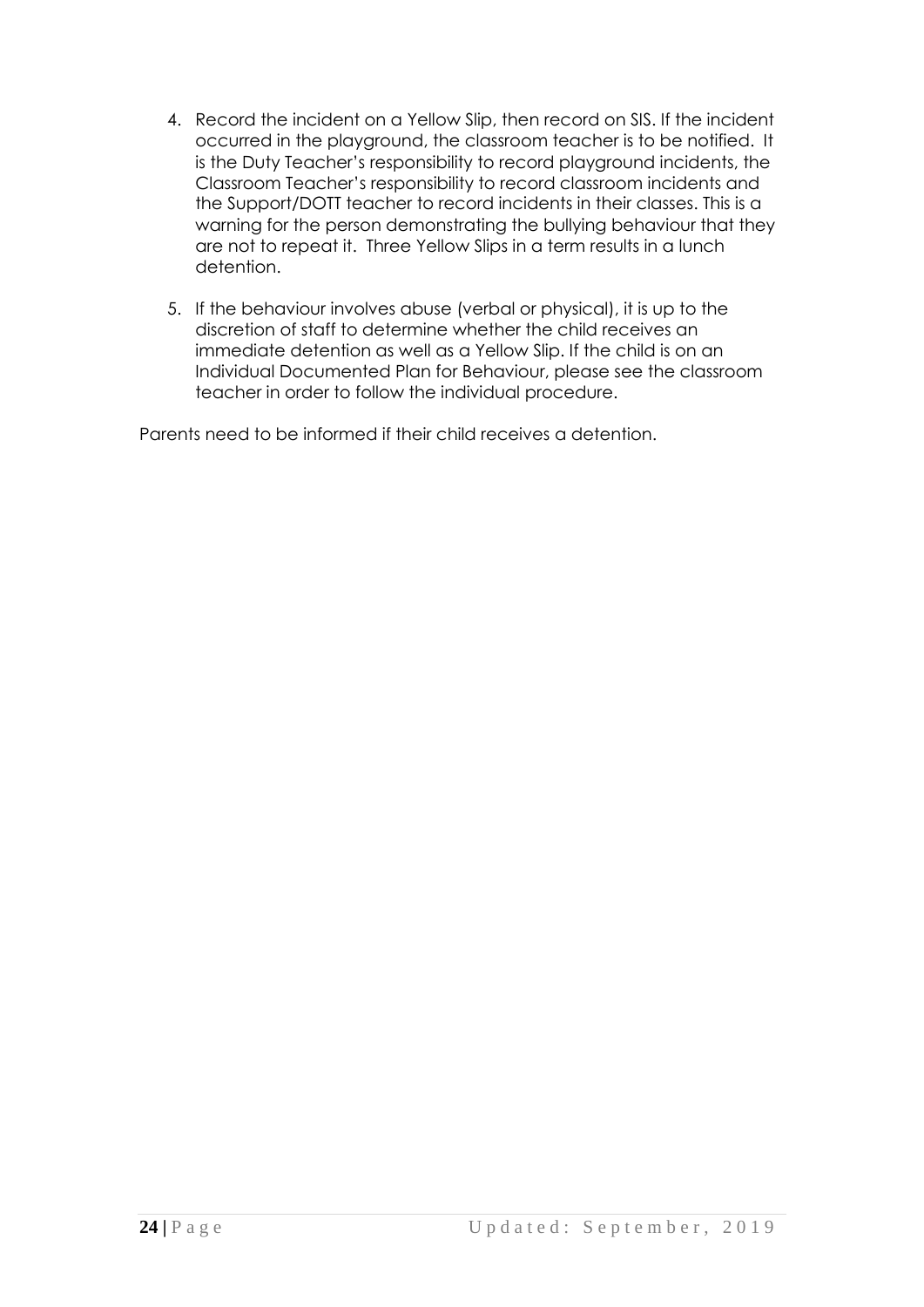- 4. Record the incident on a Yellow Slip, then record on SIS. If the incident occurred in the playground, the classroom teacher is to be notified. It is the Duty Teacher's responsibility to record playground incidents, the Classroom Teacher's responsibility to record classroom incidents and the Support/DOTT teacher to record incidents in their classes. This is a warning for the person demonstrating the bullying behaviour that they are not to repeat it. Three Yellow Slips in a term results in a lunch detention.
- 5. If the behaviour involves abuse (verbal or physical), it is up to the discretion of staff to determine whether the child receives an immediate detention as well as a Yellow Slip. If the child is on an Individual Documented Plan for Behaviour, please see the classroom teacher in order to follow the individual procedure.

Parents need to be informed if their child receives a detention.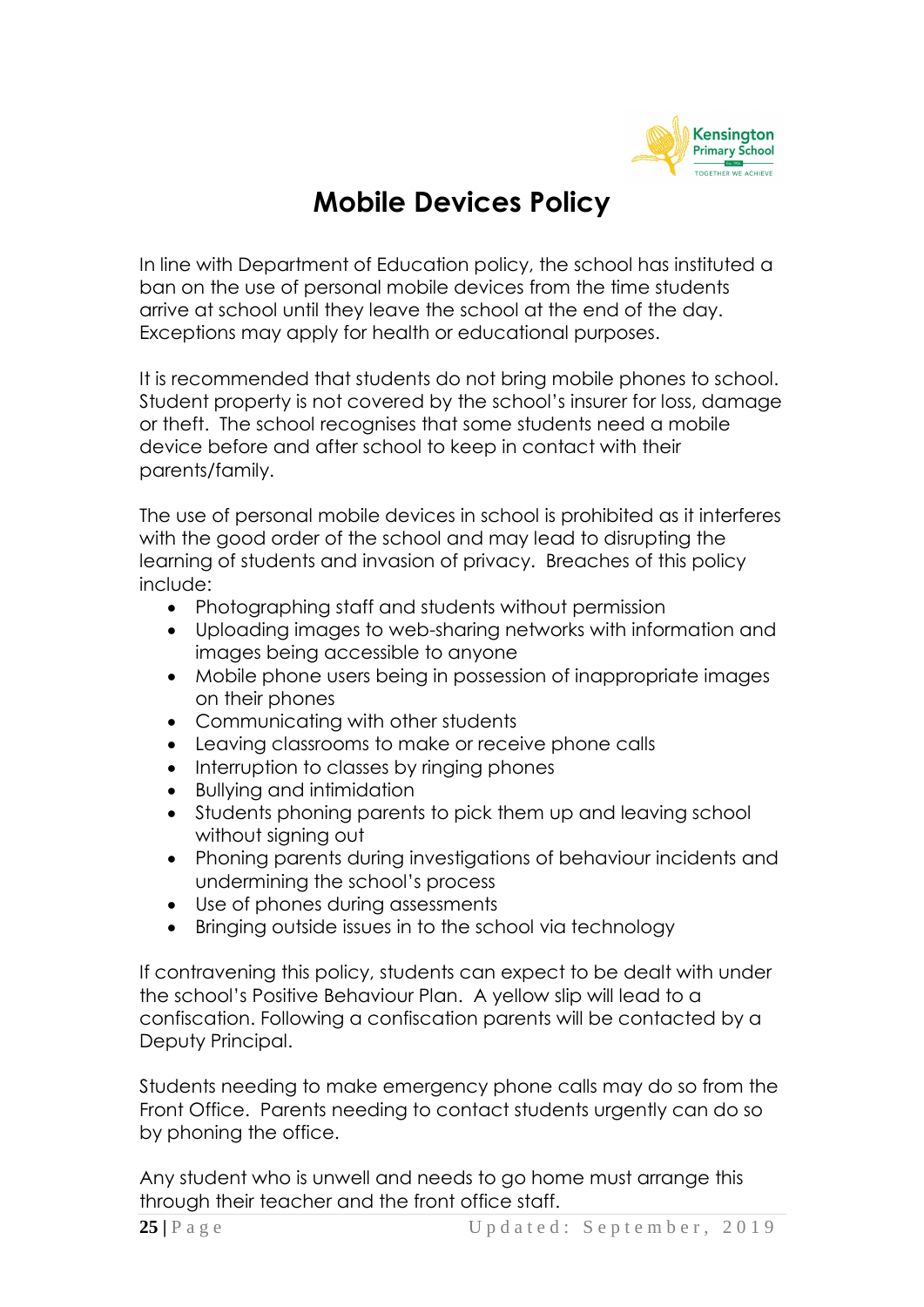

### **Mobile Devices Policy**

In line with Department of Education policy, the school has instituted a ban on the use of personal mobile devices from the time students arrive at school until they leave the school at the end of the day. Exceptions may apply for health or educational purposes.

It is recommended that students do not bring mobile phones to school. Student property is not covered by the school's insurer for loss, damage or theft. The school recognises that some students need a mobile device before and after school to keep in contact with their parents/family.

The use of personal mobile devices in school is prohibited as it interferes with the good order of the school and may lead to disrupting the learning of students and invasion of privacy. Breaches of this policy include:

- Photographing staff and students without permission
- Uploading images to web-sharing networks with information and images being accessible to anyone
- Mobile phone users being in possession of inappropriate images on their phones
- Communicating with other students
- Leaving classrooms to make or receive phone calls
- Interruption to classes by ringing phones
- Bullying and intimidation
- Students phoning parents to pick them up and leaving school without signing out
- Phoning parents during investigations of behaviour incidents and undermining the school's process
- Use of phones during assessments
- Bringing outside issues in to the school via technology

If contravening this policy, students can expect to be dealt with under the school's Positive Behaviour Plan. A yellow slip will lead to a confiscation. Following a confiscation parents will be contacted by a Deputy Principal.

Students needing to make emergency phone calls may do so from the Front Office. Parents needing to contact students urgently can do so by phoning the office.

Any student who is unwell and needs to go home must arrange this through their teacher and the front office staff.